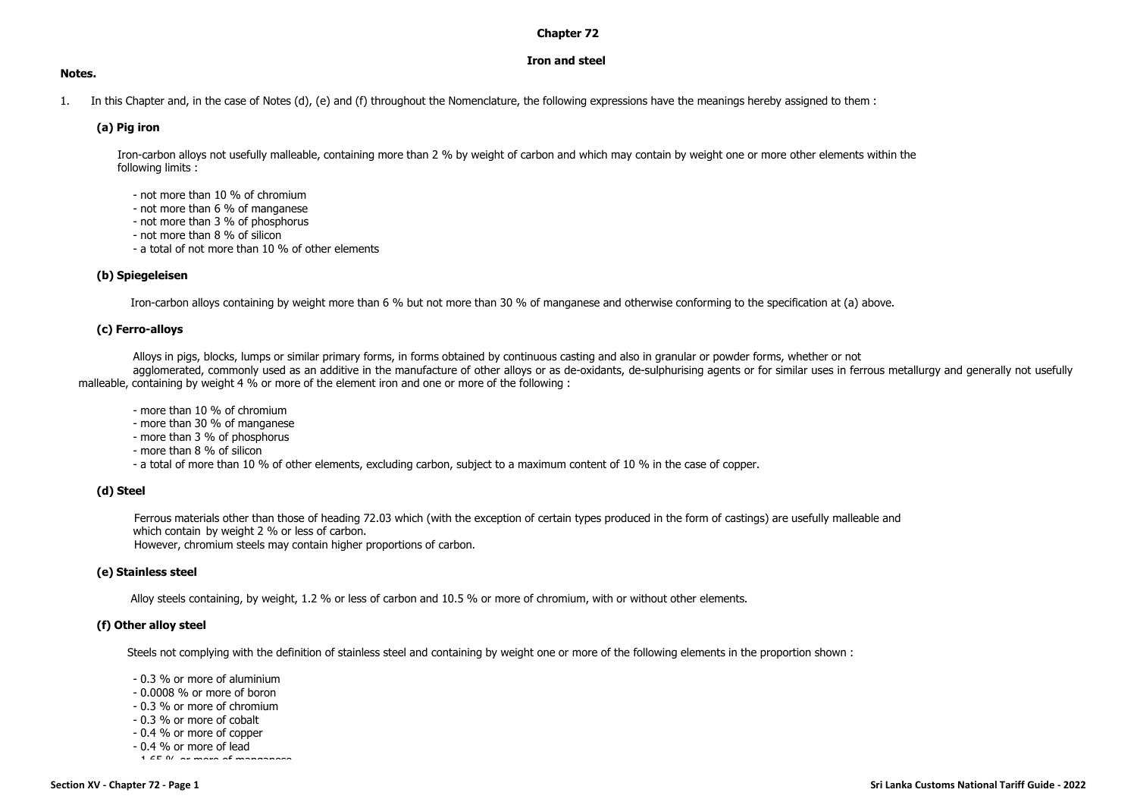### **Chapter 72**

# **Iron and steel**

### **Notes.**

1. In this Chapter and, in the case of Notes (d), (e) and (f) throughout the Nomenclature, the following expressions have the meanings hereby assigned to them :

# **(a) Pig iron**

Iron-carbon alloys not usefully malleable, containing more than 2 % by weight of carbon and which may contain by weight one or more other elements within the following limits :

- not more than 10 % of chromium
- not more than 6 % of manganese
- not more than 3 % of phosphorus
- not more than 8 % of silicon
- a total of not more than 10 % of other elements

## **(b) Spiegeleisen**

Iron-carbon alloys containing by weight more than 6 % but not more than 30 % of manganese and otherwise conforming to the specification at (a) above.

## **(c) Ferro-alloys**

Alloys in pigs, blocks, lumps or similar primary forms, in forms obtained by continuous casting and also in granular or powder forms, whether or not

agglomerated, commonly used as an additive in the manufacture of other alloys or as de-oxidants, de-sulphurising agents or for similar uses in ferrous metallurgy and generally not usefully malleable, containing by weight 4 % or more of the element iron and one or more of the following :

- more than 10 % of chromium
- more than 30 % of manganese
- more than 3 % of phosphorus
- more than 8 % of silicon
- a total of more than 10 % of other elements, excluding carbon, subject to a maximum content of 10 % in the case of copper.

## **(d) Steel**

Ferrous materials other than those of heading 72.03 which (with the exception of certain types produced in the form of castings) are usefully malleable and which contain by weight 2 % or less of carbon.

However, chromium steels may contain higher proportions of carbon.

## **(e) Stainless steel**

Alloy steels containing, by weight, 1.2 % or less of carbon and 10.5 % or more of chromium, with or without other elements.

## **(f) Other alloy steel**

Steels not complying with the definition of stainless steel and containing by weight one or more of the following elements in the proportion shown :

- 0.3 % or more of aluminium
- 0.0008 % or more of boron
- 0.3 % or more of chromium
- 0.3 % or more of cobalt
- 0.4 % or more of copper
- 0.4 % or more of lead
- 1.65 % or more of manganese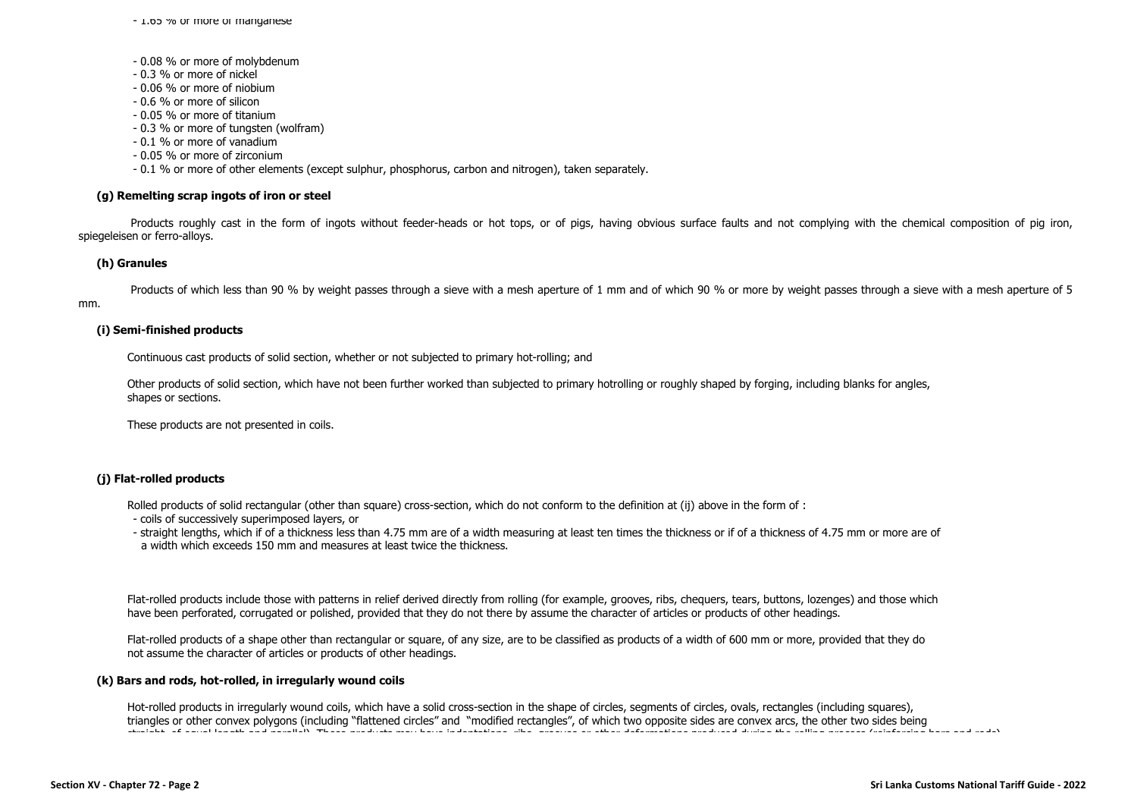- 1.65 % or more of manganese

- 0.08 % or more of molybdenum
- 0.3 % or more of nickel
- 0.06 % or more of niobium
- 0.6 % or more of silicon
- 0.05 % or more of titanium
- 0.3 % or more of tungsten (wolfram)
- 0.1 % or more of vanadium
- 0.05 % or more of zirconium
- 0.1 % or more of other elements (except sulphur, phosphorus, carbon and nitrogen), taken separately.

### **(g) Remelting scrap ingots of iron or steel**

Products roughly cast in the form of ingots without feeder-heads or hot tops, or of pigs, having obvious surface faults and not complying with the chemical composition of pig iron, spiegeleisen or ferro-alloys.

#### **(h) Granules**

Products of which less than 90 % by weight passes through a sieve with a mesh aperture of 1 mm and of which 90 % or more by weight passes through a sieve with a mesh aperture of 5 mm.

#### **(i) Semi-finished products**

Continuous cast products of solid section, whether or not subjected to primary hot-rolling; and

Other products of solid section, which have not been further worked than subjected to primary hotrolling or roughly shaped by forging, including blanks for angles, shapes or sections.

These products are not presented in coils.

### **(j) Flat-rolled products**

Rolled products of solid rectangular (other than square) cross-section, which do not conform to the definition at (ij) above in the form of :

- coils of successively superimposed layers, or
- straight lengths, which if of a thickness less than 4.75 mm are of a width measuring at least ten times the thickness or if of a thickness of 4.75 mm or more are of a width which exceeds 150 mm and measures at least twice the thickness.

Flat-rolled products include those with patterns in relief derived directly from rolling (for example, grooves, ribs, chequers, tears, buttons, lozenges) and those which have been perforated, corrugated or polished, provided that they do not there by assume the character of articles or products of other headings.

Flat-rolled products of a shape other than rectangular or square, of any size, are to be classified as products of a width of 600 mm or more, provided that they do not assume the character of articles or products of other headings.

#### **(k) Bars and rods, hot-rolled, in irregularly wound coils**

Hot-rolled products in irregularly wound coils, which have a solid cross-section in the shape of circles, segments of circles, ovals, rectangles (including squares), triangles or other convex polygons (including "flattened circles" and "modified rectangles", of which two opposite sides are convex arcs, the other two sides being straight, of equal length and parallel). These products may have indentations, ribs, grooves or other deformations produced during the rolling process (reinforcing bars and rods).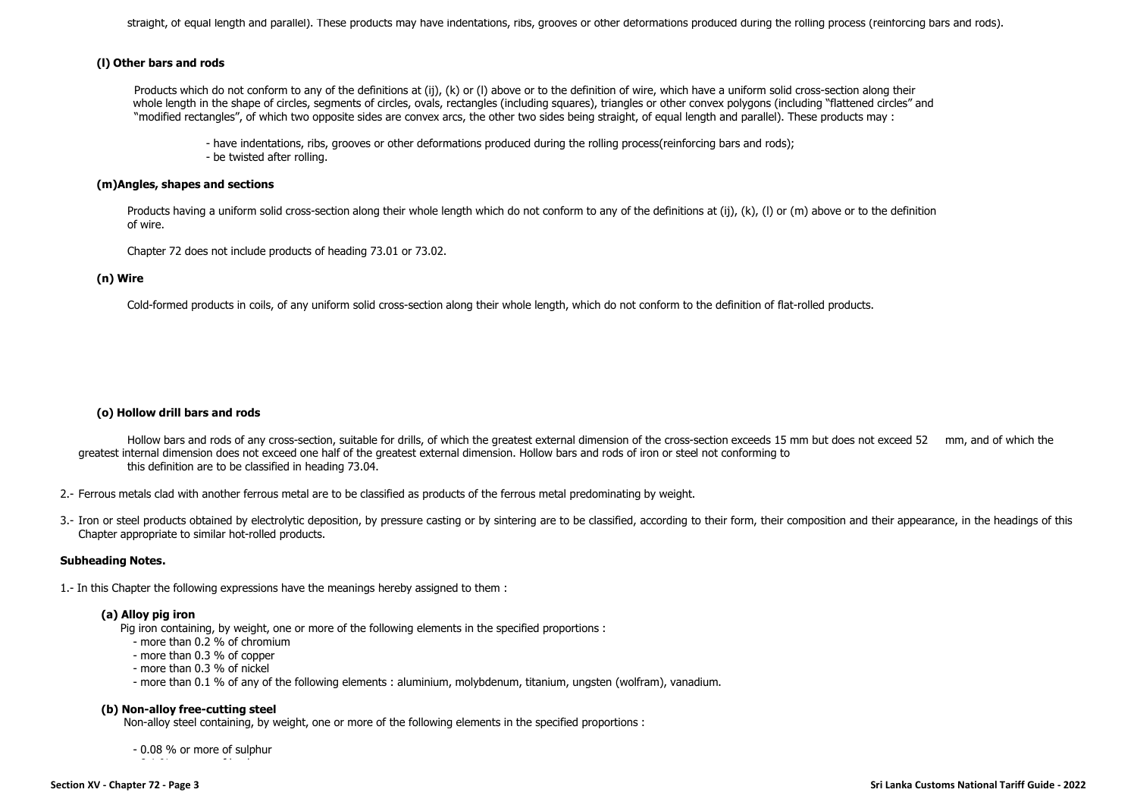straight, of equal length and parallel). These products may have indentations, ribs, grooves or other deformations produced during the rolling process (reinforcing bars and rods).

# **(l) Other bars and rods**

Products which do not conform to any of the definitions at (ij), (k) or (I) above or to the definition of wire, which have a uniform solid cross-section along their whole length in the shape of circles, segments of circles, ovals, rectangles (including squares), triangles or other convex polygons (including "flattened circles" and "modified rectangles", of which two opposite sides are convex arcs, the other two sides being straight, of equal length and parallel). These products may :

- have indentations, ribs, grooves or other deformations produced during the rolling process(reinforcing bars and rods); - be twisted after rolling.

### **(m)Angles, shapes and sections**

Products having a uniform solid cross-section along their whole length which do not conform to any of the definitions at (ij), (k), (l) or (m) above or to the definition of wire.

Chapter 72 does not include products of heading 73.01 or 73.02.

## **(n) Wire**

Cold-formed products in coils, of any uniform solid cross-section along their whole length, which do not conform to the definition of flat-rolled products.

## **(o) Hollow drill bars and rods**

Hollow bars and rods of any cross-section, suitable for drills, of which the greatest external dimension of the cross-section exceeds 15 mm but does not exceed 52 mm, and of which the greatest internal dimension does not exceed one half of the greatest external dimension. Hollow bars and rods of iron or steel not conforming to this definition are to be classified in heading 73.04.

- 2.- Ferrous metals clad with another ferrous metal are to be classified as products of the ferrous metal predominating by weight.
- 3.- Iron or steel products obtained by electrolytic deposition, by pressure casting or by sintering are to be classified, according to their form, their composition and their appearance, in the headings of this Chapter appropriate to similar hot-rolled products.

## **Subheading Notes.**

1.- In this Chapter the following expressions have the meanings hereby assigned to them :

## **(a) Alloy pig iron**

Pig iron containing, by weight, one or more of the following elements in the specified proportions :

- more than 0.2 % of chromium
- more than 0.3 % of copper
- more than 0.3 % of nickel
- more than 0.1 % of any of the following elements : aluminium, molybdenum, titanium, ungsten (wolfram), vanadium.

## **(b) Non-alloy free-cutting steel**

Non-alloy steel containing, by weight, one or more of the following elements in the specified proportions :

- 0.08 % or more of sulphur - 0.1 % or more of lead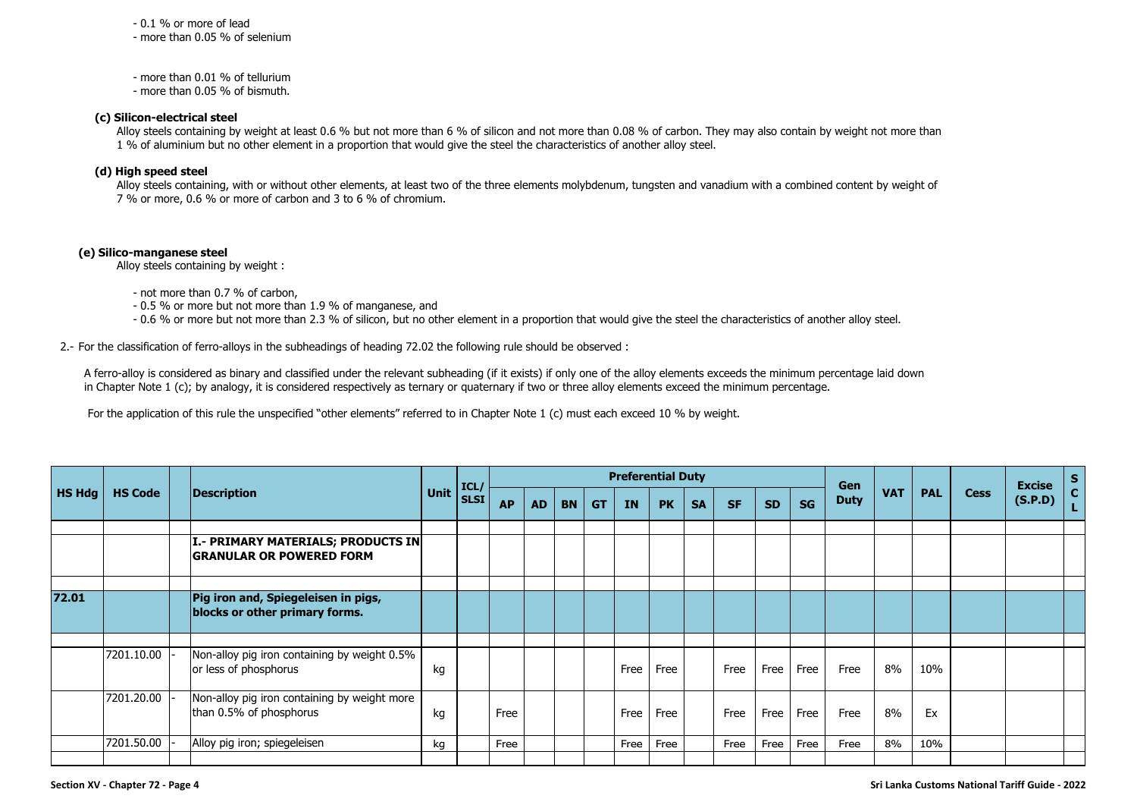- 0.1 % or more of lead

- more than 0.05 % of selenium

- more than 0.01 % of tellurium

- more than 0.05 % of bismuth.

## **(c) Silicon-electrical steel**

Alloy steels containing by weight at least 0.6 % but not more than 6 % of silicon and not more than 0.08 % of carbon. They may also contain by weight not more than 1 % of aluminium but no other element in a proportion that would give the steel the characteristics of another alloy steel.

# **(d) High speed steel**

Alloy steels containing, with or without other elements, at least two of the three elements molybdenum, tungsten and vanadium with a combined content by weight of 7 % or more, 0.6 % or more of carbon and 3 to 6 % of chromium.

## **(e) Silico-manganese steel**

Alloy steels containing by weight :

- not more than 0.7 % of carbon,

- 0.5 % or more but not more than 1.9 % of manganese, and

- 0.6 % or more but not more than 2.3 % of silicon, but no other element in a proportion that would give the steel the characteristics of another alloy steel.

2.- For the classification of ferro-alloys in the subheadings of heading 72.02 the following rule should be observed :

A ferro-alloy is considered as binary and classified under the relevant subheading (if it exists) if only one of the alloy elements exceeds the minimum percentage laid down in Chapter Note 1 (c); by analogy, it is considered respectively as ternary or quaternary if two or three alloy elements exceed the minimum percentage.

For the application of this rule the unspecified "other elements" referred to in Chapter Note 1 (c) must each exceed 10 % by weight.

|               |                |                                                                         |      | ICL/        |           |           |           |           |      | <b>Preferential Duty</b> |           |           |           |           | Gen         |            |            |             | <b>Excise</b> | $\begin{bmatrix} s \\ c \end{bmatrix}$ |
|---------------|----------------|-------------------------------------------------------------------------|------|-------------|-----------|-----------|-----------|-----------|------|--------------------------|-----------|-----------|-----------|-----------|-------------|------------|------------|-------------|---------------|----------------------------------------|
| <b>HS Hdg</b> | <b>HS Code</b> | <b>Description</b>                                                      | Unit | <b>SLSI</b> | <b>AP</b> | <b>AD</b> | <b>BN</b> | <b>GT</b> | IN   | <b>PK</b>                | <b>SA</b> | <b>SF</b> | <b>SD</b> | <b>SG</b> | <b>Duty</b> | <b>VAT</b> | <b>PAL</b> | <b>Cess</b> | (S.P.D)       | L                                      |
|               |                | I.- PRIMARY MATERIALS; PRODUCTS IN<br><b>GRANULAR OR POWERED FORM</b>   |      |             |           |           |           |           |      |                          |           |           |           |           |             |            |            |             |               |                                        |
| 72.01         |                | Pig iron and, Spiegeleisen in pigs,<br>blocks or other primary forms.   |      |             |           |           |           |           |      |                          |           |           |           |           |             |            |            |             |               |                                        |
|               | 7201.10.00     | Non-alloy pig iron containing by weight 0.5%<br>or less of phosphorus   | kg   |             |           |           |           |           | Free | Free                     |           | Free      | Free      | Free      | Free        | 8%         | 10%        |             |               |                                        |
|               | 7201.20.00     | Non-alloy pig iron containing by weight more<br>than 0.5% of phosphorus | kg   |             | Free      |           |           |           | Free | Free                     |           | Free      | Free      | Free      | Free        | 8%         | Ex         |             |               |                                        |
|               | 7201.50.00     | Alloy pig iron; spiegeleisen                                            | kg   |             | Free      |           |           |           | Free | Free                     |           | Free      | Free      | Free      | Free        | 8%         | 10%        |             |               |                                        |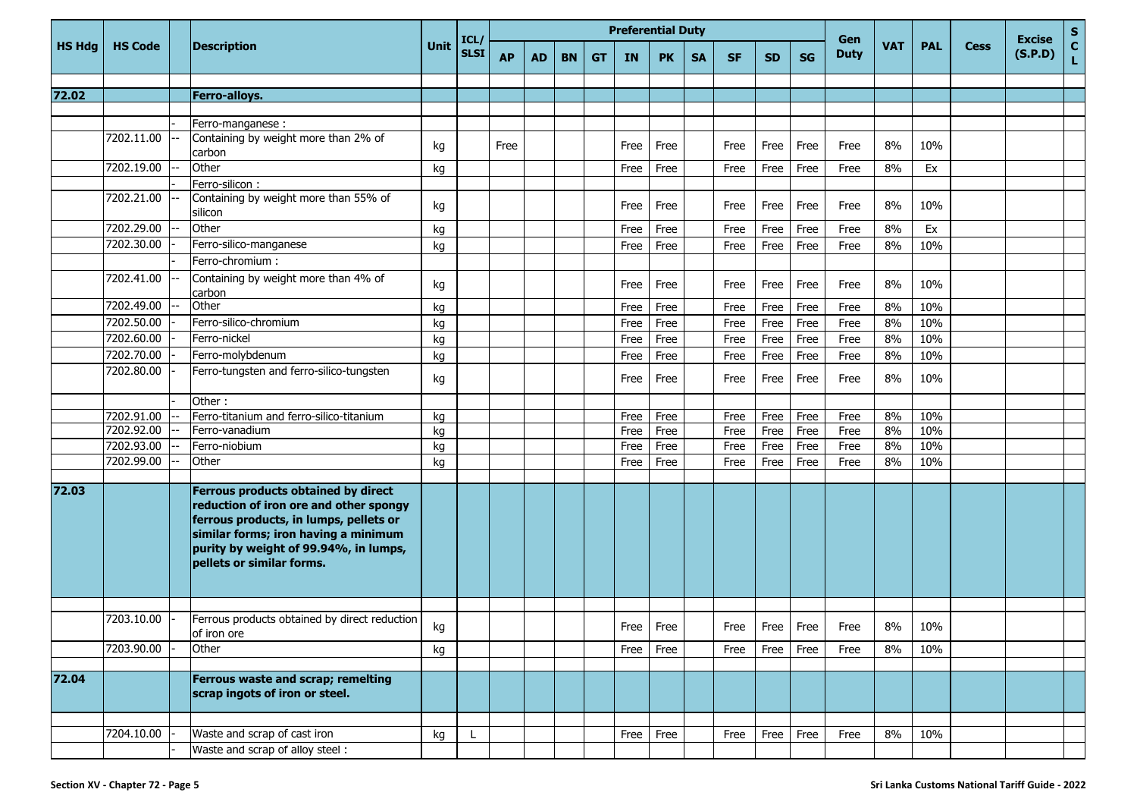|               |                |                                                                                                                                                                                                                                       |      | ICL/        |           |           |           |     | <b>Preferential Duty</b> |           |           |           |           |           | Gen         |            |            |             | <b>Excise</b> | $S_{C}$      |
|---------------|----------------|---------------------------------------------------------------------------------------------------------------------------------------------------------------------------------------------------------------------------------------|------|-------------|-----------|-----------|-----------|-----|--------------------------|-----------|-----------|-----------|-----------|-----------|-------------|------------|------------|-------------|---------------|--------------|
| <b>HS Hdg</b> | <b>HS Code</b> | <b>Description</b>                                                                                                                                                                                                                    | Unit | <b>SLSI</b> | <b>AP</b> | <b>AD</b> | <b>BN</b> | GT. | <b>IN</b>                | <b>PK</b> | <b>SA</b> | <b>SF</b> | <b>SD</b> | <b>SG</b> | <b>Duty</b> | <b>VAT</b> | <b>PAL</b> | <b>Cess</b> | (S.P.D)       | $\mathbf{L}$ |
|               |                |                                                                                                                                                                                                                                       |      |             |           |           |           |     |                          |           |           |           |           |           |             |            |            |             |               |              |
| 72.02         |                | Ferro-alloys.                                                                                                                                                                                                                         |      |             |           |           |           |     |                          |           |           |           |           |           |             |            |            |             |               |              |
|               |                | Ferro-manganese :                                                                                                                                                                                                                     |      |             |           |           |           |     |                          |           |           |           |           |           |             |            |            |             |               |              |
|               | 7202.11.00     | Containing by weight more than 2% of                                                                                                                                                                                                  | kg   |             | Free      |           |           |     | Free                     | Free      |           | Free      | Free      | Free      | Free        | 8%         | 10%        |             |               |              |
|               |                | carbon                                                                                                                                                                                                                                |      |             |           |           |           |     |                          |           |           |           |           |           |             |            |            |             |               |              |
|               | 7202.19.00     | Other                                                                                                                                                                                                                                 | kg   |             |           |           |           |     | Free                     | Free      |           | Free      | Free      | Free      | Free        | 8%         | Ex         |             |               |              |
|               |                | Ferro-silicon:<br>Containing by weight more than 55% of                                                                                                                                                                               |      |             |           |           |           |     |                          |           |           |           |           |           |             |            |            |             |               |              |
|               | 7202.21.00     | silicon                                                                                                                                                                                                                               | kg   |             |           |           |           |     | Free                     | Free      |           | Free      | Free      | Free      | Free        | 8%         | 10%        |             |               |              |
|               | 7202.29.00     | Other                                                                                                                                                                                                                                 | kg   |             |           |           |           |     | Free                     | Free      |           | Free      | Free      | Free      | Free        | 8%         | Ex         |             |               |              |
|               | 7202.30.00     | Ferro-silico-manganese                                                                                                                                                                                                                | kg   |             |           |           |           |     | Free                     | Free      |           | Free      | Free      | Free      | Free        | 8%         | 10%        |             |               |              |
|               |                | Ferro-chromium:                                                                                                                                                                                                                       |      |             |           |           |           |     |                          |           |           |           |           |           |             |            |            |             |               |              |
|               | 7202.41.00     | Containing by weight more than 4% of<br>carbon                                                                                                                                                                                        | kg   |             |           |           |           |     | Free                     | Free      |           | Free      | Free      | Free      | Free        | 8%         | 10%        |             |               |              |
|               | 7202.49.00     | Other                                                                                                                                                                                                                                 | kg   |             |           |           |           |     | Free                     | Free      |           | Free      | Free      | Free      | Free        | 8%         | 10%        |             |               |              |
|               | 7202.50.00     | Ferro-silico-chromium                                                                                                                                                                                                                 | kg   |             |           |           |           |     | Free                     | Free      |           | Free      | Free      | Free      | Free        | 8%         | 10%        |             |               |              |
|               | 7202.60.00     | Ferro-nickel                                                                                                                                                                                                                          | kg   |             |           |           |           |     | Free                     | Free      |           | Free      | Free      | Free      | Free        | 8%         | 10%        |             |               |              |
|               | 7202.70.00     | Ferro-molybdenum                                                                                                                                                                                                                      | kg   |             |           |           |           |     | Free                     | Free      |           | Free      | Free      | Free      | Free        | 8%         | 10%        |             |               |              |
|               | 7202.80.00     | Ferro-tungsten and ferro-silico-tungsten                                                                                                                                                                                              | kg   |             |           |           |           |     | Free                     | Free      |           | Free      | Free      | Free      | Free        | 8%         | 10%        |             |               |              |
|               |                | Other:                                                                                                                                                                                                                                |      |             |           |           |           |     |                          |           |           |           |           |           |             |            |            |             |               |              |
|               | 7202.91.00     | Ferro-titanium and ferro-silico-titanium                                                                                                                                                                                              | kg   |             |           |           |           |     | Free                     | Free      |           | Free      | Free      | Free      | Free        | 8%         | 10%        |             |               |              |
|               | 7202.92.00     | Ferro-vanadium                                                                                                                                                                                                                        | kg   |             |           |           |           |     | Free                     | Free      |           | Free      | Free      | Free      | Free        | 8%         | 10%        |             |               |              |
|               | 7202.93.00     | Ferro-niobium                                                                                                                                                                                                                         | kg   |             |           |           |           |     | Free                     | Free      |           | Free      | Free      | Free      | Free        | 8%         | 10%        |             |               |              |
|               | 7202.99.00     | Other                                                                                                                                                                                                                                 | kg   |             |           |           |           |     | Free                     | Free      |           | Free      | Free      | Free      | Free        | 8%         | 10%        |             |               |              |
| 72.03         |                | Ferrous products obtained by direct<br>reduction of iron ore and other spongy<br>ferrous products, in lumps, pellets or<br>similar forms; iron having a minimum<br>purity by weight of 99.94%, in lumps,<br>pellets or similar forms. |      |             |           |           |           |     |                          |           |           |           |           |           |             |            |            |             |               |              |
|               | 7203.10.00     | Ferrous products obtained by direct reduction                                                                                                                                                                                         |      |             |           |           |           |     |                          |           |           |           |           |           |             |            |            |             |               |              |
|               |                | of iron ore                                                                                                                                                                                                                           | kg   |             |           |           |           |     |                          | Free Free |           | Free      | Free Free |           | Free        | 8%         | 10%        |             |               |              |
|               | 7203.90.00     | Other                                                                                                                                                                                                                                 | kg   |             |           |           |           |     | Free                     | Free      |           | Free      | Free      | Free      | Free        | 8%         | 10%        |             |               |              |
| 72.04         |                | Ferrous waste and scrap; remelting<br>scrap ingots of iron or steel.                                                                                                                                                                  |      |             |           |           |           |     |                          |           |           |           |           |           |             |            |            |             |               |              |
|               |                |                                                                                                                                                                                                                                       |      |             |           |           |           |     |                          |           |           |           |           |           |             |            |            |             |               |              |
|               | 7204.10.00     | Waste and scrap of cast iron                                                                                                                                                                                                          | kg   | L           |           |           |           |     | Free                     | Free      |           | Free      | Free      | Free      | Free        | 8%         | 10%        |             |               |              |
|               |                | Waste and scrap of alloy steel:                                                                                                                                                                                                       |      |             |           |           |           |     |                          |           |           |           |           |           |             |            |            |             |               |              |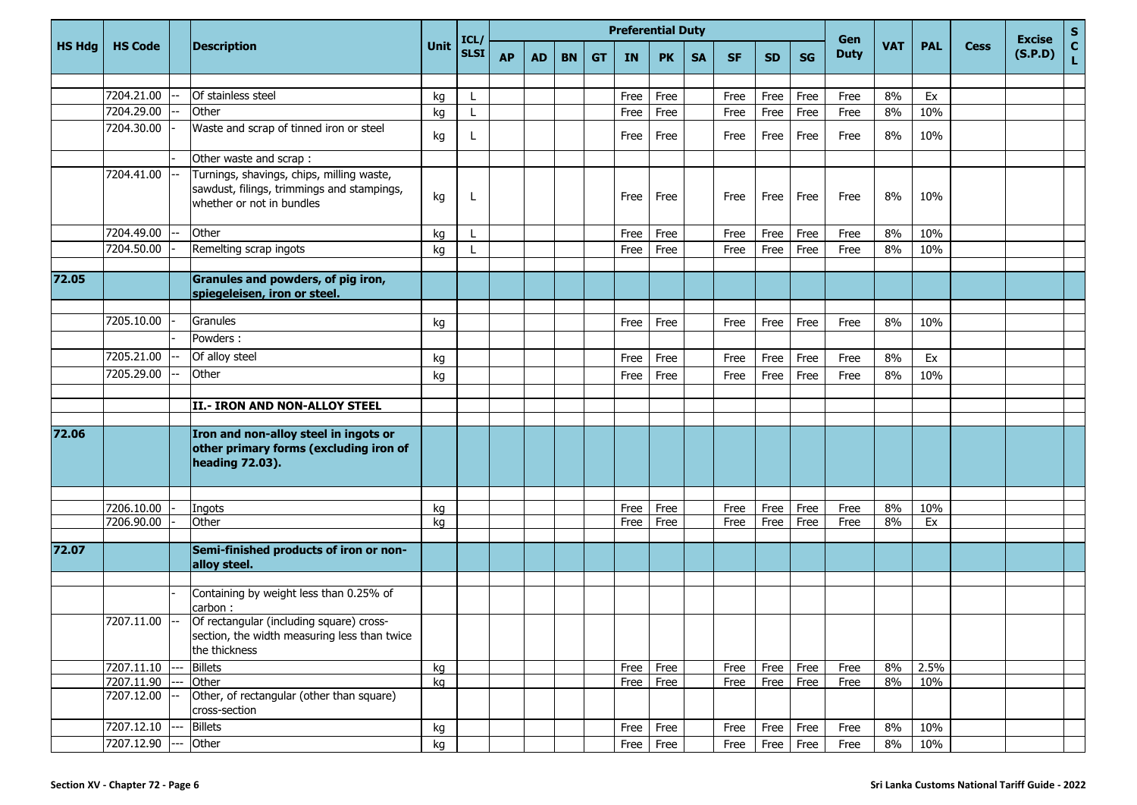|               |                          |                          |                                                                                                                      |          | <b>Preferential Duty</b><br>ICL |           |           |           |    |              |              |           |              |              |              | Gen          |            |            |             | <b>Excise</b> | s<br>C       |
|---------------|--------------------------|--------------------------|----------------------------------------------------------------------------------------------------------------------|----------|---------------------------------|-----------|-----------|-----------|----|--------------|--------------|-----------|--------------|--------------|--------------|--------------|------------|------------|-------------|---------------|--------------|
| <b>HS Hdg</b> | <b>HS Code</b>           |                          | <b>Description</b>                                                                                                   | Unit     | <b>SLSI</b>                     | <b>AP</b> | <b>AD</b> | <b>BN</b> | GТ | IN           | <b>PK</b>    | <b>SA</b> | <b>SF</b>    | <b>SD</b>    | <b>SG</b>    | <b>Duty</b>  | <b>VAT</b> | <b>PAL</b> | <b>Cess</b> | (S.P.D)       | $\mathbf{L}$ |
|               |                          |                          |                                                                                                                      |          |                                 |           |           |           |    |              |              |           |              |              |              |              |            |            |             |               |              |
|               | 7204.21.00               |                          | Of stainless steel                                                                                                   | kg       |                                 |           |           |           |    | Free         | Free         |           | Free         | Free         | Free         | Free         | 8%         | Ex         |             |               |              |
|               | 7204.29.00               |                          | Other                                                                                                                | kg       | L                               |           |           |           |    | Free         | Free         |           | Free         | Free         | Free         | Free         | 8%         | 10%        |             |               |              |
|               | 7204.30.00               |                          | Waste and scrap of tinned iron or steel                                                                              | kg       | L                               |           |           |           |    | Free         | Free         |           | Free         | Free         | Free         | Free         | 8%         | 10%        |             |               |              |
|               |                          |                          | Other waste and scrap :                                                                                              |          |                                 |           |           |           |    |              |              |           |              |              |              |              |            |            |             |               |              |
|               | 7204.41.00               |                          | Turnings, shavings, chips, milling waste,<br>sawdust, filings, trimmings and stampings,<br>whether or not in bundles | kg       | L                               |           |           |           |    | Free         | Free         |           | Free         | Free         | Free         | Free         | 8%         | 10%        |             |               |              |
|               | 7204.49.00               |                          | Other                                                                                                                | kg       |                                 |           |           |           |    | Free         | Free         |           | Free         | Free         | Free         | Free         | 8%         | 10%        |             |               |              |
|               | 7204.50.00               |                          | Remelting scrap ingots                                                                                               | kg       |                                 |           |           |           |    | Free         | Free         |           | Free         | Free         | Free         | Free         | 8%         | 10%        |             |               |              |
|               |                          |                          |                                                                                                                      |          |                                 |           |           |           |    |              |              |           |              |              |              |              |            |            |             |               |              |
| 72.05         |                          |                          | Granules and powders, of pig iron,<br>spiegeleisen, iron or steel.                                                   |          |                                 |           |           |           |    |              |              |           |              |              |              |              |            |            |             |               |              |
|               |                          |                          |                                                                                                                      |          |                                 |           |           |           |    |              |              |           |              |              |              |              |            |            |             |               |              |
|               | 7205.10.00               |                          | Granules                                                                                                             | kg       |                                 |           |           |           |    | Free         | Free         |           | Free         | Free         | Free         | Free         | 8%         | 10%        |             |               |              |
|               |                          |                          | Powders:                                                                                                             |          |                                 |           |           |           |    |              |              |           |              |              |              |              |            |            |             |               |              |
|               | 7205.21.00               |                          | Of alloy steel                                                                                                       | kg       |                                 |           |           |           |    | Free         | Free         |           | Free         | Free         | Free         | Free         | 8%         | Ex         |             |               |              |
|               | 7205.29.00               |                          | Other                                                                                                                | kg       |                                 |           |           |           |    | Free         | Free         |           | Free         | Free         | Free         | Free         | 8%         | 10%        |             |               |              |
|               |                          |                          |                                                                                                                      |          |                                 |           |           |           |    |              |              |           |              |              |              |              |            |            |             |               |              |
|               |                          |                          | II.- IRON AND NON-ALLOY STEEL                                                                                        |          |                                 |           |           |           |    |              |              |           |              |              |              |              |            |            |             |               |              |
| 72.06         |                          |                          | Iron and non-alloy steel in ingots or<br>other primary forms (excluding iron of<br>heading 72.03).                   |          |                                 |           |           |           |    |              |              |           |              |              |              |              |            |            |             |               |              |
|               |                          |                          |                                                                                                                      |          |                                 |           |           |           |    |              |              |           |              |              |              |              |            |            |             |               |              |
|               | 7206.10.00<br>7206.90.00 |                          | Ingots<br>Other                                                                                                      | kg<br>kg |                                 |           |           |           |    | Free<br>Free | Free<br>Free |           | Free<br>Free | Free<br>Free | Free<br>Free | Free<br>Free | 8%<br>8%   | 10%<br>Ex  |             |               |              |
|               |                          |                          |                                                                                                                      |          |                                 |           |           |           |    |              |              |           |              |              |              |              |            |            |             |               |              |
| 72.07         |                          |                          | Semi-finished products of iron or non-<br>alloy steel.                                                               |          |                                 |           |           |           |    |              |              |           |              |              |              |              |            |            |             |               |              |
|               |                          |                          |                                                                                                                      |          |                                 |           |           |           |    |              |              |           |              |              |              |              |            |            |             |               |              |
|               |                          |                          | Containing by weight less than 0.25% of                                                                              |          |                                 |           |           |           |    |              |              |           |              |              |              |              |            |            |             |               |              |
|               | 7207.11.00               | $\overline{\phantom{a}}$ | carbon :<br>Of rectangular (including square) cross-                                                                 |          |                                 |           |           |           |    |              |              |           |              |              |              |              |            |            |             |               |              |
|               |                          |                          | section, the width measuring less than twice<br>the thickness                                                        |          |                                 |           |           |           |    |              |              |           |              |              |              |              |            |            |             |               |              |
|               | 7207.11.10               |                          | <b>Billets</b>                                                                                                       | kg       |                                 |           |           |           |    | Free         | Free         |           | Free         | Free         | Free         | Free         | 8%         | 2.5%       |             |               |              |
|               | 7207.11.90               |                          | Other                                                                                                                | kg       |                                 |           |           |           |    |              | Free Free    |           | Free         | Free         | Free         | Free         | 8%         | 10%        |             |               |              |
|               | 7207.12.00               |                          | Other, of rectangular (other than square)<br>cross-section                                                           |          |                                 |           |           |           |    |              |              |           |              |              |              |              |            |            |             |               |              |
|               | 7207.12.10               |                          | <b>Billets</b>                                                                                                       | kg       |                                 |           |           |           |    | Free         | Free         |           | Free         | Free         | Free         | Free         | 8%         | 10%        |             |               |              |
|               | 7207.12.90               |                          | Other                                                                                                                | kg       |                                 |           |           |           |    |              | $Free$ Free  |           | Free         | Free         | Free         | Free         | 8%         | 10%        |             |               |              |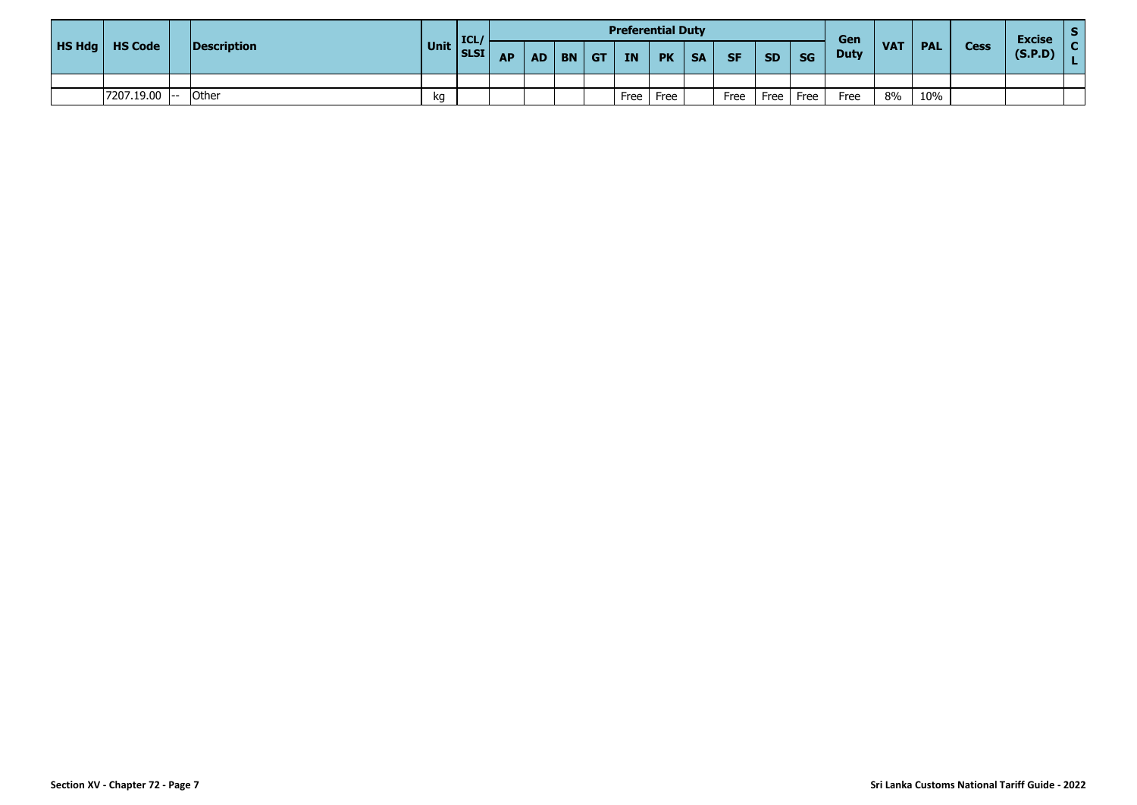|                         |             |             | <b>ICL</b> |           |           |           |             |      | <b>Preferential Duty</b> |           |           |           |           | Gen         |            |            |             | <b>Excise</b> |  |
|-------------------------|-------------|-------------|------------|-----------|-----------|-----------|-------------|------|--------------------------|-----------|-----------|-----------|-----------|-------------|------------|------------|-------------|---------------|--|
| <b>HS Hdg</b>   HS Code | Description | <b>Unit</b> | SLSI       | <b>AP</b> | <b>AD</b> | <b>BN</b> | $\sqrt{GT}$ | IN   | <b>PK</b>                | <b>SA</b> | <b>SF</b> | <b>SD</b> | <b>SG</b> | <b>Duty</b> | <b>VAT</b> | <b>PAL</b> | <b>Cess</b> | (S.P.D)       |  |
|                         |             |             |            |           |           |           |             |      |                          |           |           |           |           |             |            |            |             |               |  |
| 7207.19.00 -- Other     |             | kg          |            |           |           |           |             | Free | Free                     |           | Free      | Free      | Free      | Free        | 8%         | 10%        |             |               |  |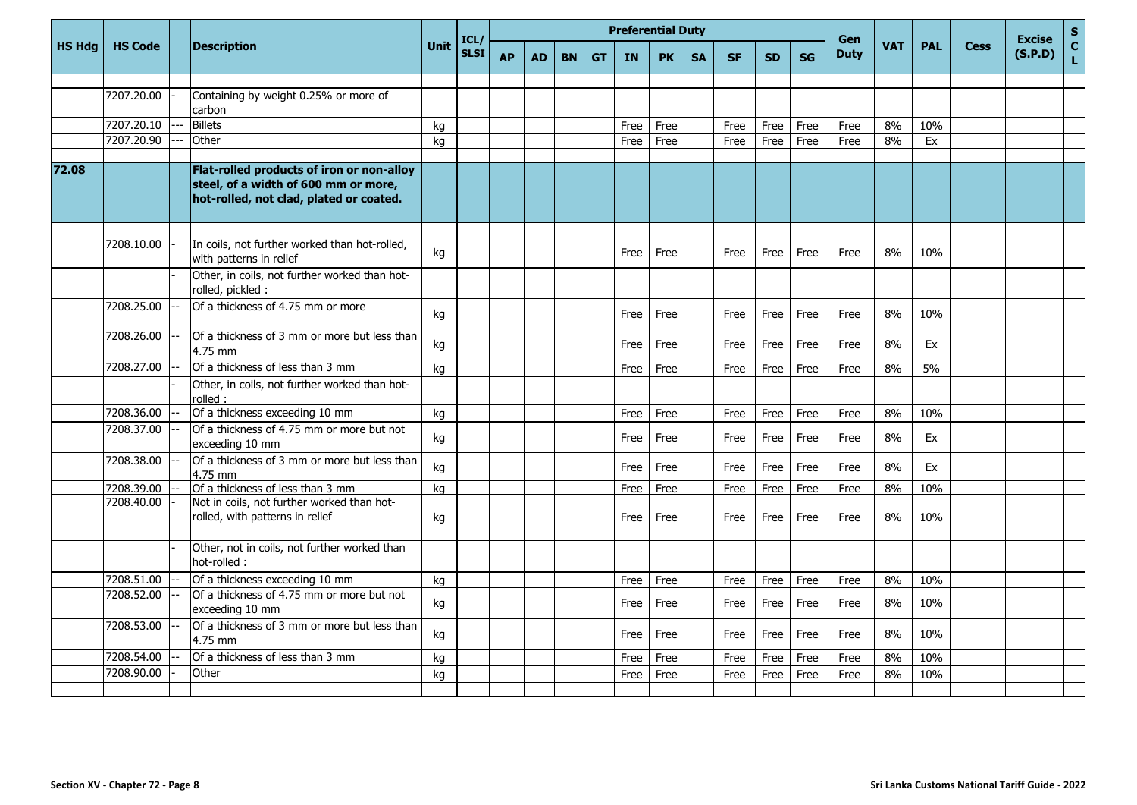|               |                |                                                                                                                              | <b>Preferential Duty</b><br>ICL/<br>Unit |             |           |           |           |           |           |           | Gen       |           |           |           | <b>Excise</b> | $\mathsf S$ |            |             |         |                             |
|---------------|----------------|------------------------------------------------------------------------------------------------------------------------------|------------------------------------------|-------------|-----------|-----------|-----------|-----------|-----------|-----------|-----------|-----------|-----------|-----------|---------------|-------------|------------|-------------|---------|-----------------------------|
| <b>HS Hdg</b> | <b>HS Code</b> | <b>Description</b>                                                                                                           |                                          | <b>SLSI</b> | <b>AP</b> | <b>AD</b> | <b>BN</b> | <b>GT</b> | <b>IN</b> | <b>PK</b> | <b>SA</b> | <b>SF</b> | <b>SD</b> | <b>SG</b> | <b>Duty</b>   | <b>VAT</b>  | <b>PAL</b> | <b>Cess</b> | (S.P.D) | $\mathbf{C}$<br>$\mathbf L$ |
|               |                |                                                                                                                              |                                          |             |           |           |           |           |           |           |           |           |           |           |               |             |            |             |         |                             |
|               | 7207.20.00     | Containing by weight 0.25% or more of<br>carbon                                                                              |                                          |             |           |           |           |           |           |           |           |           |           |           |               |             |            |             |         |                             |
|               | 7207.20.10     | <b>Billets</b>                                                                                                               | kg                                       |             |           |           |           |           | Free      | Free      |           | Free      | Free      | Free      | Free          | 8%          | 10%        |             |         |                             |
|               | 7207.20.90     | Other                                                                                                                        | kg                                       |             |           |           |           |           | Free      | Free      |           | Free      | Free      | Free      | Free          | 8%          | Ex         |             |         |                             |
| 72.08         |                | Flat-rolled products of iron or non-alloy<br>steel, of a width of 600 mm or more,<br>hot-rolled, not clad, plated or coated. |                                          |             |           |           |           |           |           |           |           |           |           |           |               |             |            |             |         |                             |
|               |                |                                                                                                                              |                                          |             |           |           |           |           |           |           |           |           |           |           |               |             |            |             |         |                             |
|               | 7208.10.00     | In coils, not further worked than hot-rolled,<br>with patterns in relief                                                     | kg                                       |             |           |           |           |           | Free      | Free      |           | Free      | Free      | Free      | Free          | 8%          | 10%        |             |         |                             |
|               |                | Other, in coils, not further worked than hot-<br>rolled, pickled :                                                           |                                          |             |           |           |           |           |           |           |           |           |           |           |               |             |            |             |         |                             |
|               | 7208.25.00     | Of a thickness of 4.75 mm or more                                                                                            | kg                                       |             |           |           |           |           | Free      | Free      |           | Free      | Free      | Free      | Free          | 8%          | 10%        |             |         |                             |
|               | 7208.26.00     | Of a thickness of 3 mm or more but less than<br>4.75 mm                                                                      | kg                                       |             |           |           |           |           | Free      | Free      |           | Free      | Free      | Free      | Free          | 8%          | Ex         |             |         |                             |
|               | 7208.27.00     | Of a thickness of less than 3 mm                                                                                             | kg                                       |             |           |           |           |           | Free      | Free      |           | Free      | Free      | Free      | Free          | 8%          | 5%         |             |         |                             |
|               |                | Other, in coils, not further worked than hot-<br>rolled :                                                                    |                                          |             |           |           |           |           |           |           |           |           |           |           |               |             |            |             |         |                             |
|               | 7208.36.00     | Of a thickness exceeding 10 mm                                                                                               | kg                                       |             |           |           |           |           | Free      | Free      |           | Free      | Free      | Free      | Free          | 8%          | 10%        |             |         |                             |
|               | 7208.37.00     | Of a thickness of 4.75 mm or more but not<br>exceeding 10 mm                                                                 | kg                                       |             |           |           |           |           | Free      | Free      |           | Free      | Free      | Free      | Free          | 8%          | Ex         |             |         |                             |
|               | 7208.38.00     | Of a thickness of 3 mm or more but less than<br>4.75 mm                                                                      | kg                                       |             |           |           |           |           | Free      | Free      |           | Free      | Free      | Free      | Free          | 8%          | Ex         |             |         |                             |
|               | 7208.39.00     | Of a thickness of less than 3 mm                                                                                             | kg                                       |             |           |           |           |           | Free      | Free      |           | Free      | Free      | Free      | Free          | 8%          | 10%        |             |         |                             |
|               | 7208.40.00     | Not in coils, not further worked than hot-<br>rolled, with patterns in relief                                                | kg                                       |             |           |           |           |           | Free      | Free      |           | Free      | Free      | Free      | Free          | 8%          | 10%        |             |         |                             |
|               |                | Other, not in coils, not further worked than<br>hot-rolled :                                                                 |                                          |             |           |           |           |           |           |           |           |           |           |           |               |             |            |             |         |                             |
|               | 7208.51.00     | Of a thickness exceeding 10 mm                                                                                               | kg                                       |             |           |           |           |           | Free      | Free      |           | Free      | Free      | Free      | Free          | 8%          | 10%        |             |         |                             |
|               | 7208.52.00     | Of a thickness of 4.75 mm or more but not<br>exceeding 10 mm                                                                 | kg                                       |             |           |           |           |           | Free      | Free      |           | Free      | Free      | Free      | Free          | 8%          | 10%        |             |         |                             |
|               | 7208.53.00     | Of a thickness of 3 mm or more but less than<br>4.75 mm                                                                      | kg                                       |             |           |           |           |           | Free      | Free      |           | Free      | Free      | Free      | Free          | 8%          | 10%        |             |         |                             |
|               | 7208.54.00     | Of a thickness of less than 3 mm                                                                                             | kg                                       |             |           |           |           |           | Free      | Free      |           | Free      | Free      | Free      | Free          | 8%          | 10%        |             |         |                             |
|               | 7208.90.00     | Other                                                                                                                        | kg                                       |             |           |           |           |           | Free      | Free      |           | Free      | Free      | Free      | Free          | 8%          | 10%        |             |         |                             |
|               |                |                                                                                                                              |                                          |             |           |           |           |           |           |           |           |           |           |           |               |             |            |             |         |                             |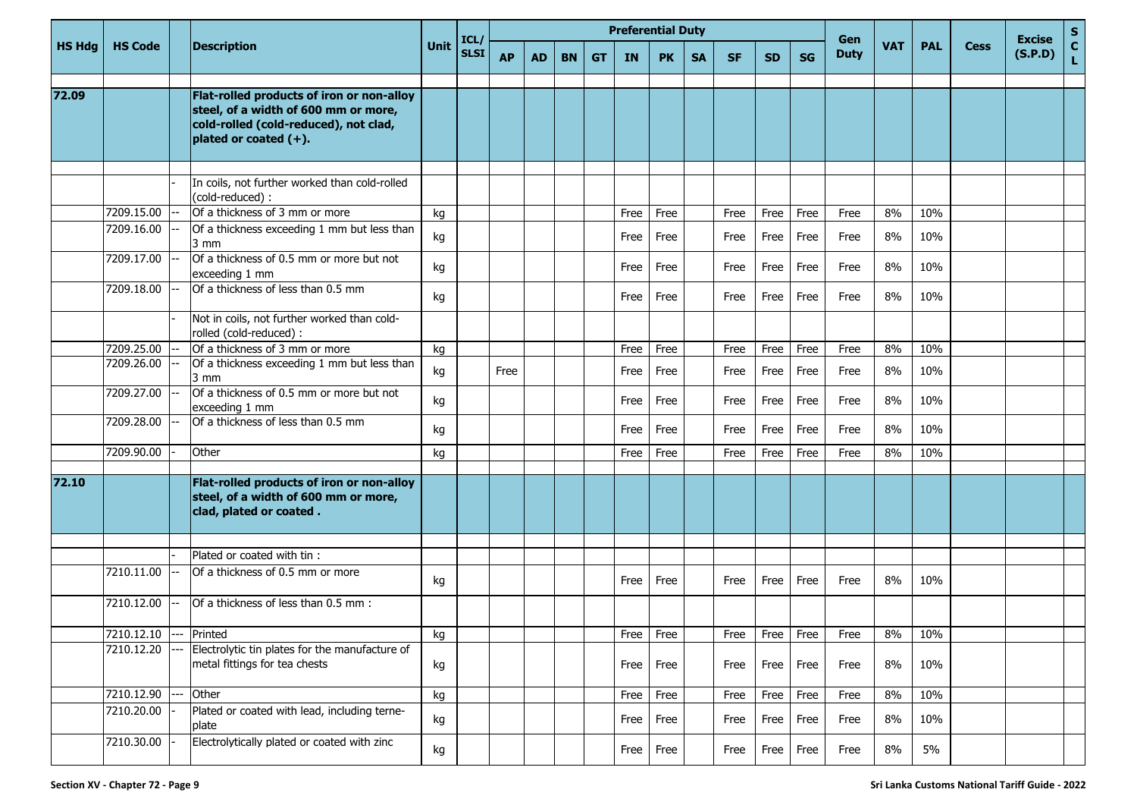|               |                |                                                                                                                                                     |      | ICL/        |           |           |           |           | <b>Preferential Duty</b> |           |           |           |           |           | Gen         |            |            |             | <b>Excise</b> | ${\sf s}$          |
|---------------|----------------|-----------------------------------------------------------------------------------------------------------------------------------------------------|------|-------------|-----------|-----------|-----------|-----------|--------------------------|-----------|-----------|-----------|-----------|-----------|-------------|------------|------------|-------------|---------------|--------------------|
| <b>HS Hdg</b> | <b>HS Code</b> | <b>Description</b>                                                                                                                                  | Unit | <b>SLSI</b> | <b>AP</b> | <b>AD</b> | <b>BN</b> | <b>GT</b> | <b>IN</b>                | <b>PK</b> | <b>SA</b> | <b>SF</b> | <b>SD</b> | <b>SG</b> | <b>Duty</b> | <b>VAT</b> | <b>PAL</b> | <b>Cess</b> | (S.P.D)       | $\mathbf{C}$<br>L. |
| 72.09         |                | Flat-rolled products of iron or non-alloy<br>steel, of a width of 600 mm or more,<br>cold-rolled (cold-reduced), not clad,<br>plated or coated (+). |      |             |           |           |           |           |                          |           |           |           |           |           |             |            |            |             |               |                    |
|               |                | In coils, not further worked than cold-rolled<br>(cold-reduced):                                                                                    |      |             |           |           |           |           |                          |           |           |           |           |           |             |            |            |             |               |                    |
|               | 7209.15.00     | Of a thickness of 3 mm or more                                                                                                                      | kg   |             |           |           |           |           | Free                     | Free      |           | Free      | Free      | Free      | Free        | 8%         | 10%        |             |               |                    |
|               | 7209.16.00     | Of a thickness exceeding 1 mm but less than<br>3 mm                                                                                                 | kg   |             |           |           |           |           | Free                     | Free      |           | Free      | Free      | Free      | Free        | 8%         | 10%        |             |               |                    |
|               | 7209.17.00     | Of a thickness of 0.5 mm or more but not<br>exceeding 1 mm                                                                                          | kg   |             |           |           |           |           | Free                     | Free      |           | Free      | Free      | Free      | Free        | 8%         | 10%        |             |               |                    |
|               | 7209.18.00     | Of a thickness of less than 0.5 mm                                                                                                                  | kg   |             |           |           |           |           | Free                     | Free      |           | Free      | Free      | Free      | Free        | 8%         | 10%        |             |               |                    |
|               |                | Not in coils, not further worked than cold-<br>rolled (cold-reduced) :                                                                              |      |             |           |           |           |           |                          |           |           |           |           |           |             |            |            |             |               |                    |
|               | 7209.25.00     | Of a thickness of 3 mm or more                                                                                                                      | kg   |             |           |           |           |           | Free                     | Free      |           | Free      | Free      | Free      | Free        | 8%         | 10%        |             |               |                    |
|               | 7209.26.00     | Of a thickness exceeding 1 mm but less than<br>3 mm                                                                                                 | kg   |             | Free      |           |           |           | Free                     | Free      |           | Free      | Free      | Free      | Free        | 8%         | 10%        |             |               |                    |
|               | 7209.27.00     | Of a thickness of 0.5 mm or more but not<br>exceeding 1 mm                                                                                          | kg   |             |           |           |           |           | Free                     | Free      |           | Free      | Free      | Free      | Free        | 8%         | 10%        |             |               |                    |
|               | 7209.28.00     | Of a thickness of less than 0.5 mm                                                                                                                  | kg   |             |           |           |           |           | Free                     | Free      |           | Free      | Free      | Free      | Free        | 8%         | 10%        |             |               |                    |
|               | 7209.90.00     | Other                                                                                                                                               | kg   |             |           |           |           |           | Free                     | Free      |           | Free      | Free      | Free      | Free        | 8%         | 10%        |             |               |                    |
| 72.10         |                | Flat-rolled products of iron or non-alloy<br>steel, of a width of 600 mm or more,<br>clad, plated or coated.                                        |      |             |           |           |           |           |                          |           |           |           |           |           |             |            |            |             |               |                    |
|               |                | Plated or coated with tin :                                                                                                                         |      |             |           |           |           |           |                          |           |           |           |           |           |             |            |            |             |               |                    |
|               | 7210.11.00     | Of a thickness of 0.5 mm or more                                                                                                                    | kg   |             |           |           |           |           | Free                     | Free      |           | Free      | Free      | Free      | Free        | 8%         | 10%        |             |               |                    |
|               | 7210.12.00     | Of a thickness of less than 0.5 mm :                                                                                                                |      |             |           |           |           |           |                          |           |           |           |           |           |             |            |            |             |               |                    |
|               | 7210.12.10     | --- Printed                                                                                                                                         | kg   |             |           |           |           |           |                          | Free Free |           | Free      | Free Free |           | Free        | 8%         | 10%        |             |               |                    |
|               | 7210.12.20     | Electrolytic tin plates for the manufacture of<br>metal fittings for tea chests                                                                     | kg   |             |           |           |           |           | Free                     | Free      |           | Free      | Free      | Free      | Free        | 8%         | 10%        |             |               |                    |
|               | 7210.12.90     | Other                                                                                                                                               | kg   |             |           |           |           |           | Free                     | Free      |           | Free      | Free      | Free      | Free        | 8%         | 10%        |             |               |                    |
|               | 7210.20.00     | Plated or coated with lead, including terne-<br>plate                                                                                               | kg   |             |           |           |           |           | Free                     | Free      |           | Free      | Free      | Free      | Free        | 8%         | 10%        |             |               |                    |
|               | 7210.30.00     | Electrolytically plated or coated with zinc                                                                                                         | kg   |             |           |           |           |           |                          | Free Free |           | Free      | Free      | Free      | Free        | 8%         | 5%         |             |               |                    |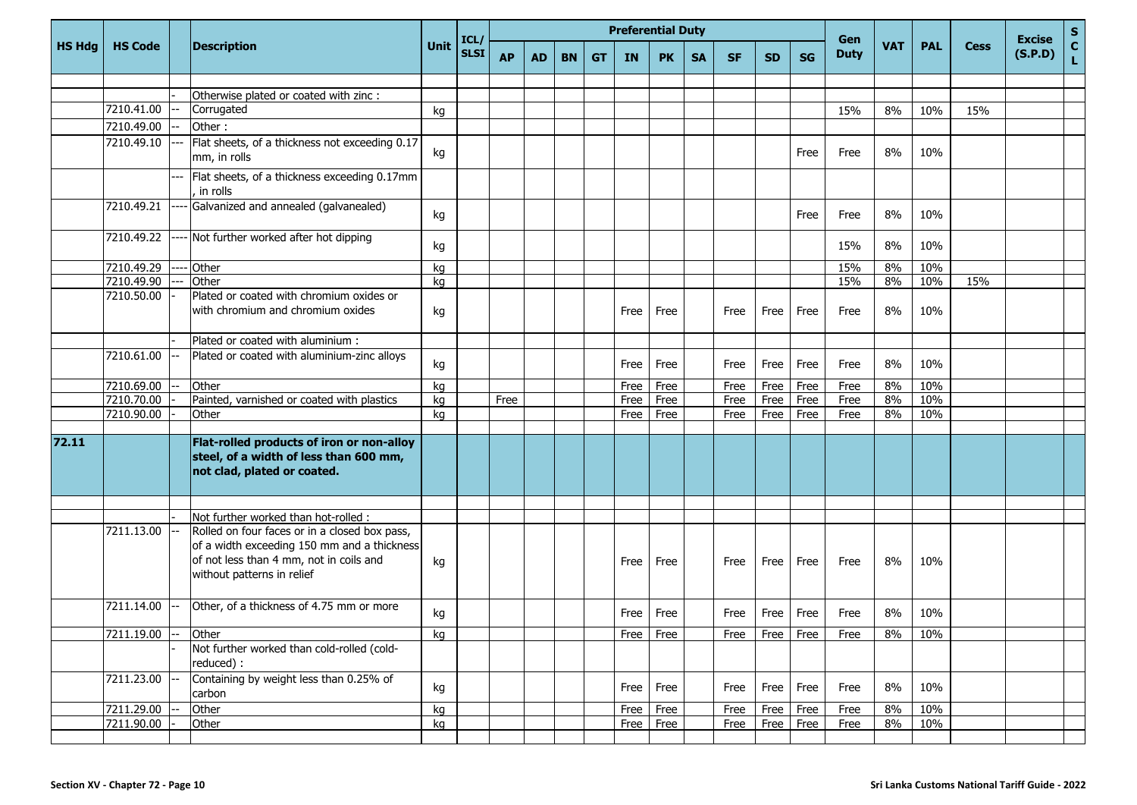|               |                |                                                                                                                                                                                                               |      | ICL         |           |           |           |           |           | <b>Preferential Duty</b> |           |           |           |           | Gen         |            |            |             | <b>Excise</b> | $S_{C}$ |
|---------------|----------------|---------------------------------------------------------------------------------------------------------------------------------------------------------------------------------------------------------------|------|-------------|-----------|-----------|-----------|-----------|-----------|--------------------------|-----------|-----------|-----------|-----------|-------------|------------|------------|-------------|---------------|---------|
| <b>HS Hdg</b> | <b>HS Code</b> | <b>Description</b>                                                                                                                                                                                            | Unit | <b>SLSI</b> | <b>AP</b> | <b>AD</b> | <b>BN</b> | <b>GT</b> | <b>IN</b> | <b>PK</b>                | <b>SA</b> | <b>SF</b> | <b>SD</b> | <b>SG</b> | <b>Duty</b> | <b>VAT</b> | <b>PAL</b> | <b>Cess</b> | (S.P.D)       | L.      |
|               |                |                                                                                                                                                                                                               |      |             |           |           |           |           |           |                          |           |           |           |           |             |            |            |             |               |         |
|               |                | Otherwise plated or coated with zinc :                                                                                                                                                                        |      |             |           |           |           |           |           |                          |           |           |           |           |             |            |            |             |               |         |
|               | 7210.41.00     | Corrugated                                                                                                                                                                                                    | kg   |             |           |           |           |           |           |                          |           |           |           |           | 15%         | 8%         | 10%        | 15%         |               |         |
|               | 7210.49.00     | Other:                                                                                                                                                                                                        |      |             |           |           |           |           |           |                          |           |           |           |           |             |            |            |             |               |         |
|               | 7210.49.10     | Flat sheets, of a thickness not exceeding 0.17<br>mm, in rolls                                                                                                                                                | kg   |             |           |           |           |           |           |                          |           |           |           | Free      | Free        | 8%         | 10%        |             |               |         |
|               |                | Flat sheets, of a thickness exceeding 0.17mm<br>in rolls                                                                                                                                                      |      |             |           |           |           |           |           |                          |           |           |           |           |             |            |            |             |               |         |
|               | 7210.49.21     | Galvanized and annealed (galvanealed)                                                                                                                                                                         | kg   |             |           |           |           |           |           |                          |           |           |           | Free      | Free        | 8%         | 10%        |             |               |         |
|               | 7210.49.22     | Not further worked after hot dipping                                                                                                                                                                          | kg   |             |           |           |           |           |           |                          |           |           |           |           | 15%         | 8%         | 10%        |             |               |         |
|               | 7210.49.29     | Other                                                                                                                                                                                                         | kg   |             |           |           |           |           |           |                          |           |           |           |           | 15%         | 8%         | 10%        |             |               |         |
|               | 7210.49.90     | Other                                                                                                                                                                                                         | kg   |             |           |           |           |           |           |                          |           |           |           |           | 15%         | 8%         | 10%        | 15%         |               |         |
|               | 7210.50.00     | Plated or coated with chromium oxides or<br>with chromium and chromium oxides                                                                                                                                 | kg   |             |           |           |           |           | Free      | Free                     |           | Free      | Free      | Free      | Free        | 8%         | 10%        |             |               |         |
|               |                | Plated or coated with aluminium :                                                                                                                                                                             |      |             |           |           |           |           |           |                          |           |           |           |           |             |            |            |             |               |         |
|               | 7210.61.00     | Plated or coated with aluminium-zinc alloys                                                                                                                                                                   | kg   |             |           |           |           |           | Free      | Free                     |           | Free      | Free      | Free      | Free        | 8%         | 10%        |             |               |         |
|               | 7210.69.00     | Other                                                                                                                                                                                                         | kg   |             |           |           |           |           | Free      | Free                     |           | Free      | Free      | Free      | Free        | 8%         | 10%        |             |               |         |
|               | 7210.70.00     | Painted, varnished or coated with plastics                                                                                                                                                                    | kg   |             | Free      |           |           |           | Free      | Free                     |           | Free      | Free      | Free      | Free        | 8%         | 10%        |             |               |         |
|               | 7210.90.00     | Other                                                                                                                                                                                                         | kg   |             |           |           |           |           | Free      | Free                     |           | Free      | Free      | Free      | Free        | 8%         | 10%        |             |               |         |
|               |                |                                                                                                                                                                                                               |      |             |           |           |           |           |           |                          |           |           |           |           |             |            |            |             |               |         |
| 72.11         |                | Flat-rolled products of iron or non-alloy<br>steel, of a width of less than 600 mm,<br>not clad, plated or coated.                                                                                            |      |             |           |           |           |           |           |                          |           |           |           |           |             |            |            |             |               |         |
|               |                |                                                                                                                                                                                                               |      |             |           |           |           |           |           |                          |           |           |           |           |             |            |            |             |               |         |
|               | 7211.13.00     | Not further worked than hot-rolled :<br>Rolled on four faces or in a closed box pass,<br>of a width exceeding 150 mm and a thickness<br>of not less than 4 mm, not in coils and<br>without patterns in relief | kg   |             |           |           |           |           | Free      | Free                     |           | Free      | Free      | Free      | Free        | 8%         | 10%        |             |               |         |
|               | 7211.14.00     | Other, of a thickness of 4.75 mm or more                                                                                                                                                                      | kg   |             |           |           |           |           | Free      | Free                     |           | Free      | Free      | Free      | Free        | 8%         | 10%        |             |               |         |
|               | 7211.19.00     | Other                                                                                                                                                                                                         | kg   |             |           |           |           |           |           | Free Free                |           | Free      |           | Free Free | Free        | 8%         | 10%        |             |               |         |
|               |                | Not further worked than cold-rolled (cold-<br>reduced) :                                                                                                                                                      |      |             |           |           |           |           |           |                          |           |           |           |           |             |            |            |             |               |         |
|               | 7211.23.00     | Containing by weight less than 0.25% of<br>carbon                                                                                                                                                             | kg   |             |           |           |           |           | Free      | Free                     |           | Free      | Free      | Free      | Free        | 8%         | 10%        |             |               |         |
|               | 7211.29.00     | Other                                                                                                                                                                                                         | kg   |             |           |           |           |           | Free      | Free                     |           | Free      | Free      | Free      | Free        | 8%         | 10%        |             |               |         |
|               | 7211.90.00     | Other                                                                                                                                                                                                         | kg   |             |           |           |           |           |           | Free Free                |           | Free      | Free      | Free      | Free        | 8%         | 10%        |             |               |         |
|               |                |                                                                                                                                                                                                               |      |             |           |           |           |           |           |                          |           |           |           |           |             |            |            |             |               |         |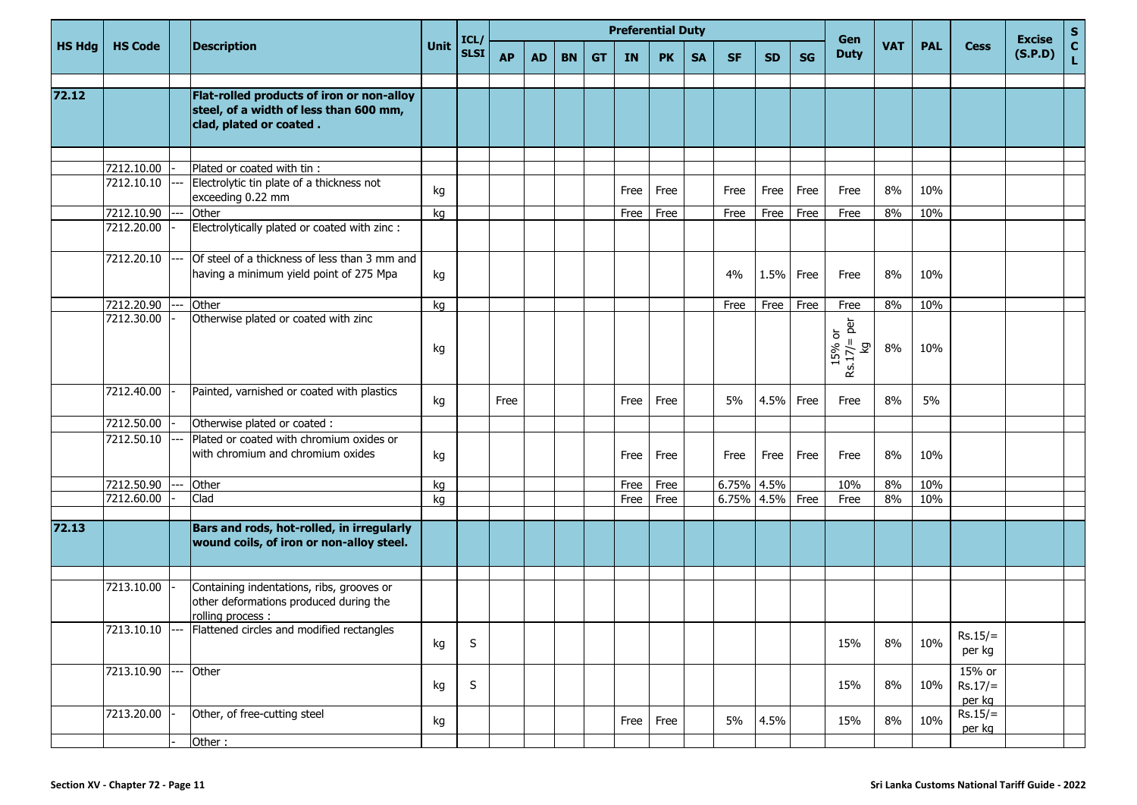|               |                |                                                                                                                |      | ICL         |           |           |           |           |           | <b>Preferential Duty</b> |           |            |           |           | Gen                                            |            |            |                               | <b>Excise</b> | $S_{C}$      |
|---------------|----------------|----------------------------------------------------------------------------------------------------------------|------|-------------|-----------|-----------|-----------|-----------|-----------|--------------------------|-----------|------------|-----------|-----------|------------------------------------------------|------------|------------|-------------------------------|---------------|--------------|
| <b>HS Hdg</b> | <b>HS Code</b> | <b>Description</b>                                                                                             | Unit | <b>SLSI</b> | <b>AP</b> | <b>AD</b> | <b>BN</b> | <b>GT</b> | <b>IN</b> | <b>PK</b>                | <b>SA</b> | <b>SF</b>  | <b>SD</b> | <b>SG</b> | <b>Duty</b>                                    | <b>VAT</b> | <b>PAL</b> | <b>Cess</b>                   | (S.P.D)       | $\mathbf{L}$ |
| 72.12         |                | Flat-rolled products of iron or non-alloy<br>steel, of a width of less than 600 mm,<br>clad, plated or coated. |      |             |           |           |           |           |           |                          |           |            |           |           |                                                |            |            |                               |               |              |
|               |                |                                                                                                                |      |             |           |           |           |           |           |                          |           |            |           |           |                                                |            |            |                               |               |              |
|               | 7212.10.00     | Plated or coated with tin :                                                                                    |      |             |           |           |           |           |           |                          |           |            |           |           |                                                |            |            |                               |               |              |
|               | 7212.10.10     | Electrolytic tin plate of a thickness not<br>exceeding 0.22 mm                                                 | kg   |             |           |           |           |           | Free      | Free                     |           | Free       | Free      | Free      | Free                                           | 8%         | 10%        |                               |               |              |
|               | 7212.10.90     | Other                                                                                                          | kg   |             |           |           |           |           | Free      | Free                     |           | Free       | Free      | Free      | Free                                           | 8%         | 10%        |                               |               |              |
|               | 7212.20.00     | Electrolytically plated or coated with zinc :                                                                  |      |             |           |           |           |           |           |                          |           |            |           |           |                                                |            |            |                               |               |              |
|               | 7212.20.10     | Of steel of a thickness of less than 3 mm and<br>having a minimum yield point of 275 Mpa                       | kg   |             |           |           |           |           |           |                          |           | 4%         | 1.5%      | Free      | Free                                           | 8%         | 10%        |                               |               |              |
|               | 7212.20.90     | Other                                                                                                          | kg   |             |           |           |           |           |           |                          |           | Free       | Free      | Free      | Free                                           | 8%         | 10%        |                               |               |              |
|               | 7212.30.00     | Otherwise plated or coated with zinc                                                                           | kg   |             |           |           |           |           |           |                          |           |            |           |           | per<br>15% or<br>$\mathbf{H}$<br>ତ୍ର<br>Rs.17/ | 8%         | 10%        |                               |               |              |
|               | 7212.40.00     | Painted, varnished or coated with plastics                                                                     | kg   |             | Free      |           |           |           | Free      | Free                     |           | 5%         | 4.5%      | Free      | Free                                           | 8%         | 5%         |                               |               |              |
|               | 7212.50.00     | Otherwise plated or coated :                                                                                   |      |             |           |           |           |           |           |                          |           |            |           |           |                                                |            |            |                               |               |              |
|               | 7212.50.10     | Plated or coated with chromium oxides or<br>with chromium and chromium oxides                                  | kg   |             |           |           |           |           | Free      | Free                     |           | Free       | Free      | Free      | Free                                           | 8%         | 10%        |                               |               |              |
|               | 7212.50.90     | Other                                                                                                          | kg   |             |           |           |           |           | Free      | Free                     |           | 6.75% 4.5% |           |           | 10%                                            | 8%         | 10%        |                               |               |              |
|               | 7212.60.00     | Clad                                                                                                           | kg   |             |           |           |           |           | Free      | Free                     |           | 6.75% 4.5% |           | Free      | Free                                           | 8%         | 10%        |                               |               |              |
| 72.13         |                | Bars and rods, hot-rolled, in irregularly<br>wound coils, of iron or non-alloy steel.                          |      |             |           |           |           |           |           |                          |           |            |           |           |                                                |            |            |                               |               |              |
|               | 7213.10.00     | Containing indentations, ribs, grooves or<br>other deformations produced during the<br>rolling process :       |      |             |           |           |           |           |           |                          |           |            |           |           |                                                |            |            |                               |               |              |
|               |                | 7213.10.10 --- Flattened circles and modified rectangles                                                       | kg   | S           |           |           |           |           |           |                          |           |            |           |           | 15%                                            | 8%         | 10%        | $Rs.15/=$<br>per kg           |               |              |
|               | 7213.10.90     | --- Other                                                                                                      | kg   | S           |           |           |           |           |           |                          |           |            |           |           | 15%                                            | 8%         | 10%        | 15% or<br>$Rs.17/=$<br>per kg |               |              |
|               | 7213.20.00     | Other, of free-cutting steel                                                                                   | kg   |             |           |           |           |           | Free      | Free                     |           | 5%         | 4.5%      |           | 15%                                            | 8%         | 10%        | $Rs.15/=$<br>per kg           |               |              |
|               |                | Other:                                                                                                         |      |             |           |           |           |           |           |                          |           |            |           |           |                                                |            |            |                               |               |              |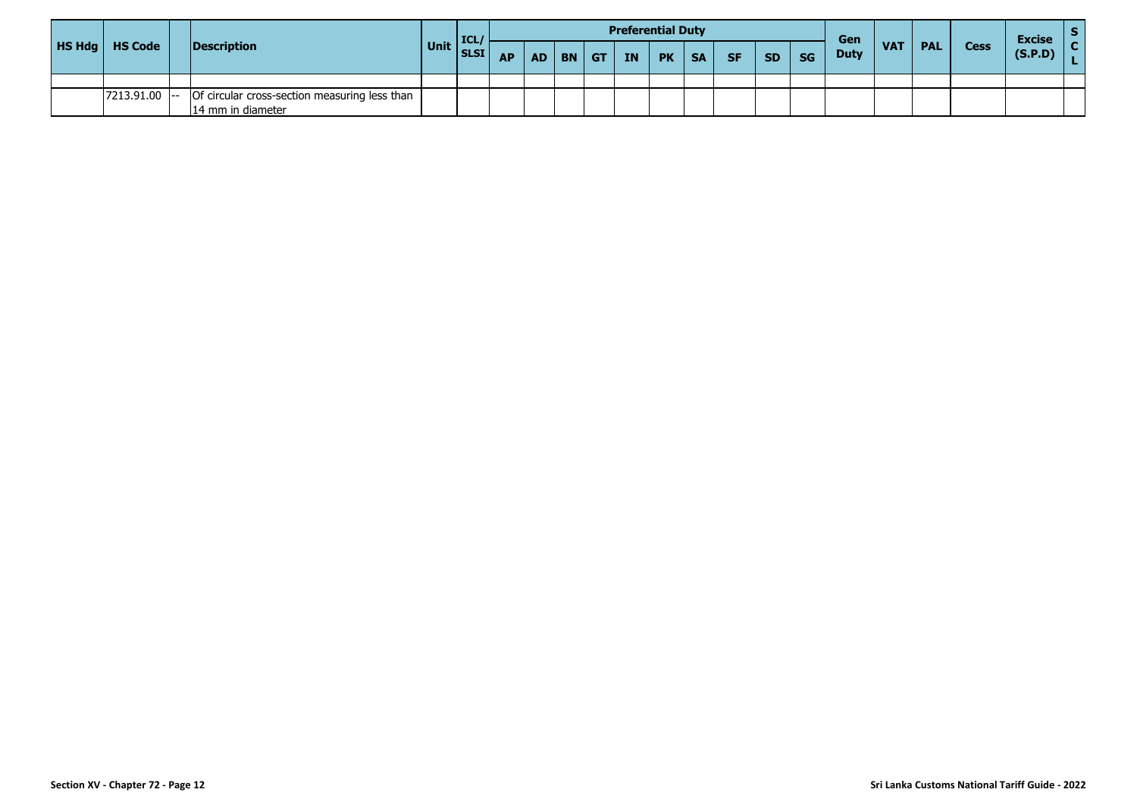|                         |                                                                      |      | <b>ICL</b> |           |     |           |            | <b>Preferential Duty</b> |           |           |           |           |           | Gen         |            |            |             | <b>Excise</b> |  |
|-------------------------|----------------------------------------------------------------------|------|------------|-----------|-----|-----------|------------|--------------------------|-----------|-----------|-----------|-----------|-----------|-------------|------------|------------|-------------|---------------|--|
| <b>HS Hdg</b>   HS Code | Description                                                          | Unit | SLSI       | <b>AP</b> | AD. | <b>BN</b> | $ $ GT $ $ | <b>TN</b>                | <b>PK</b> | <b>SA</b> | <b>SF</b> | <b>SD</b> | <b>SG</b> | <b>Duty</b> | <b>VAT</b> | <b>PAL</b> | <b>Cess</b> | (S.P.D)       |  |
|                         |                                                                      |      |            |           |     |           |            |                          |           |           |           |           |           |             |            |            |             |               |  |
| $7213.91.00$ -          | - Of circular cross-section measuring less than<br>14 mm in diameter |      |            |           |     |           |            |                          |           |           |           |           |           |             |            |            |             |               |  |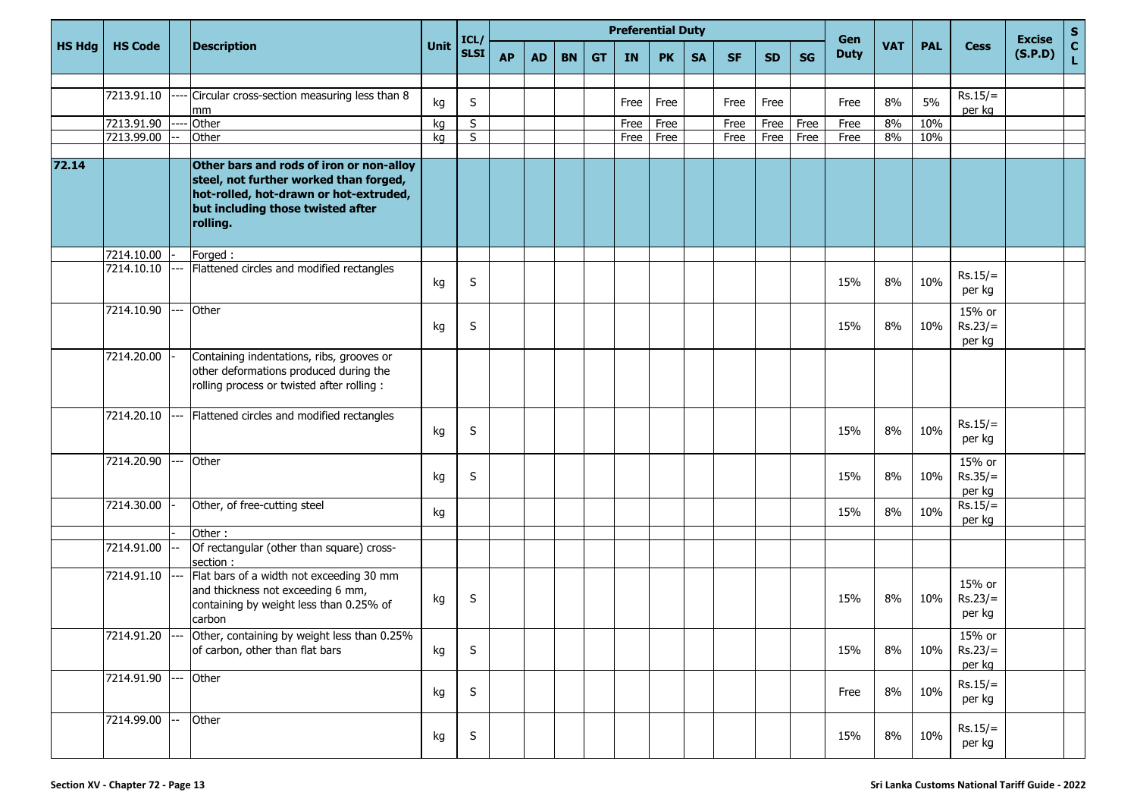|               |                |                                                                                                                                                                               | <b>Preferential Duty</b><br>ICL/ |             |           |           |           |           |      |           |           |           |           | Gen       |             |            |            | <b>Excise</b>                 |         |             |
|---------------|----------------|-------------------------------------------------------------------------------------------------------------------------------------------------------------------------------|----------------------------------|-------------|-----------|-----------|-----------|-----------|------|-----------|-----------|-----------|-----------|-----------|-------------|------------|------------|-------------------------------|---------|-------------|
| <b>HS Hdg</b> | <b>HS Code</b> | <b>Description</b>                                                                                                                                                            | Unit                             | <b>SLSI</b> | <b>AP</b> | <b>AD</b> | <b>BN</b> | <b>GT</b> | IN   | <b>PK</b> | <b>SA</b> | <b>SF</b> | <b>SD</b> | <b>SG</b> | <b>Duty</b> | <b>VAT</b> | <b>PAL</b> | <b>Cess</b>                   | (S.P.D) | S<br>C<br>L |
|               |                |                                                                                                                                                                               |                                  |             |           |           |           |           |      |           |           |           |           |           |             |            |            |                               |         |             |
|               | 7213.91.10     | Circular cross-section measuring less than 8<br>mm                                                                                                                            | kg                               | S           |           |           |           |           | Free | Free      |           | Free      | Free      |           | Free        | 8%         | 5%         | $Rs.15/=$<br>per kg           |         |             |
|               | 7213.91.90     | Other                                                                                                                                                                         | kg                               | S           |           |           |           |           | Free | Free      |           | Free      | Free      | Free      | Free        | 8%         | 10%        |                               |         |             |
|               | 7213.99.00     | Other                                                                                                                                                                         | kg                               | S           |           |           |           |           | Free | Free      |           | Free      | Free      | Free      | Free        | 8%         | 10%        |                               |         |             |
|               |                |                                                                                                                                                                               |                                  |             |           |           |           |           |      |           |           |           |           |           |             |            |            |                               |         |             |
| 72.14         |                | Other bars and rods of iron or non-alloy<br>steel, not further worked than forged,<br>hot-rolled, hot-drawn or hot-extruded,<br>but including those twisted after<br>rolling. |                                  |             |           |           |           |           |      |           |           |           |           |           |             |            |            |                               |         |             |
|               | 7214.10.00     | Forged:                                                                                                                                                                       |                                  |             |           |           |           |           |      |           |           |           |           |           |             |            |            |                               |         |             |
|               | 7214.10.10     | Flattened circles and modified rectangles                                                                                                                                     | kg                               | S           |           |           |           |           |      |           |           |           |           |           | 15%         | 8%         | 10%        | $Rs.15/=$<br>per kg           |         |             |
|               | 7214.10.90     | Other                                                                                                                                                                         | kg                               | S           |           |           |           |           |      |           |           |           |           |           | 15%         | 8%         | 10%        | 15% or<br>$Rs.23/=$<br>per kg |         |             |
|               | 7214.20.00     | Containing indentations, ribs, grooves or<br>other deformations produced during the<br>rolling process or twisted after rolling :                                             |                                  |             |           |           |           |           |      |           |           |           |           |           |             |            |            |                               |         |             |
|               | 7214.20.10     | Flattened circles and modified rectangles                                                                                                                                     | kg                               | S           |           |           |           |           |      |           |           |           |           |           | 15%         | 8%         | 10%        | $Rs.15/=$<br>per kg           |         |             |
|               | 7214.20.90     | Other                                                                                                                                                                         | kg                               | S           |           |           |           |           |      |           |           |           |           |           | 15%         | 8%         | 10%        | 15% or<br>$Rs.35/=$<br>per kg |         |             |
|               | 7214.30.00     | Other, of free-cutting steel                                                                                                                                                  | kg                               |             |           |           |           |           |      |           |           |           |           |           | 15%         | 8%         | 10%        | $Rs.15/=$<br>per kg           |         |             |
|               |                | Other:                                                                                                                                                                        |                                  |             |           |           |           |           |      |           |           |           |           |           |             |            |            |                               |         |             |
|               | 7214.91.00     | Of rectangular (other than square) cross-<br>section :                                                                                                                        |                                  |             |           |           |           |           |      |           |           |           |           |           |             |            |            |                               |         |             |
|               | 7214.91.10     | Flat bars of a width not exceeding 30 mm<br>and thickness not exceeding 6 mm,<br>containing by weight less than 0.25% of<br>carbon                                            | kg                               | S           |           |           |           |           |      |           |           |           |           |           | 15%         | 8%         | 10%        | 15% or<br>$Rs.23/=$<br>per kg |         |             |
|               | 7214.91.20     | Other, containing by weight less than 0.25%<br>of carbon, other than flat bars                                                                                                | kg                               | S           |           |           |           |           |      |           |           |           |           |           | 15%         | 8%         | 10%        | 15% or<br>$Rs.23/=$<br>per kg |         |             |
|               | 7214.91.90     | Other                                                                                                                                                                         | kg                               | S           |           |           |           |           |      |           |           |           |           |           | Free        | 8%         | 10%        | $Rs.15/=$<br>per kg           |         |             |
|               | 7214.99.00     | Other                                                                                                                                                                         | kg                               | S           |           |           |           |           |      |           |           |           |           |           | 15%         | 8%         | 10%        | $Rs.15/=$<br>per kg           |         |             |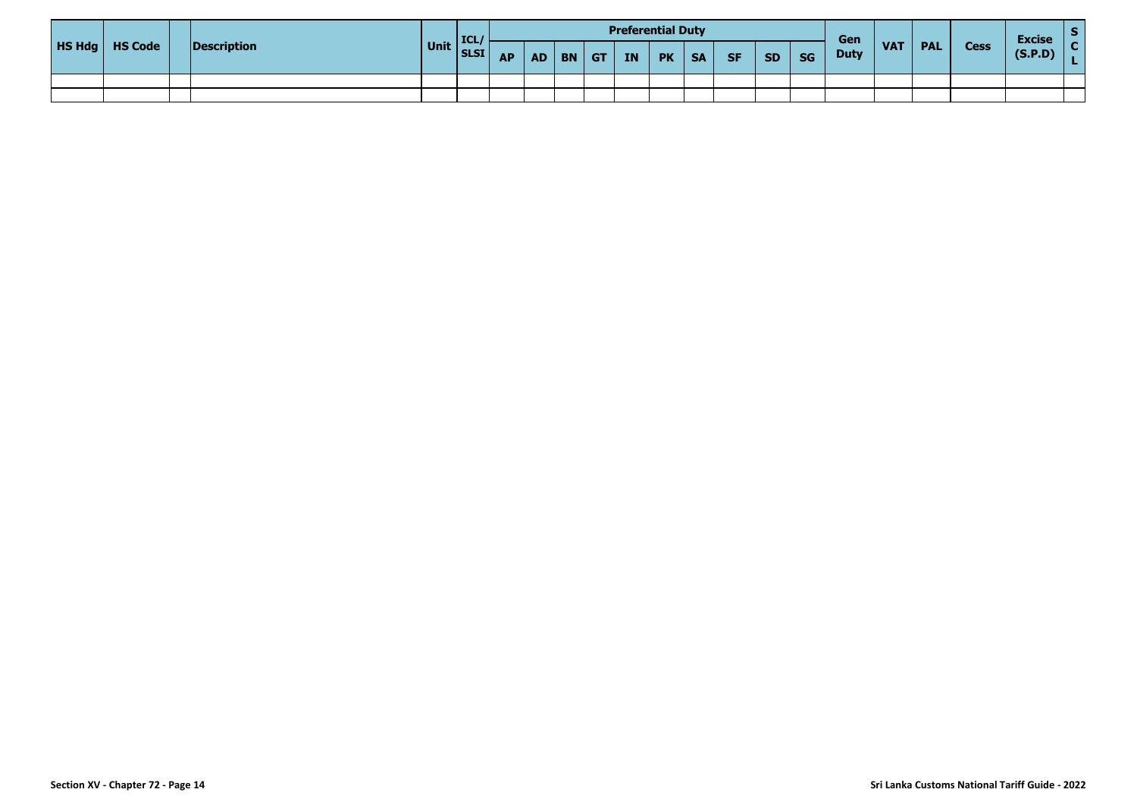|                         |             |              | <b>ICL</b> |           |          |            |    | <b>Preferential Duty</b> |           |           |           |           | Gen         |            |            |             | <b>Excise</b> |  |
|-------------------------|-------------|--------------|------------|-----------|----------|------------|----|--------------------------|-----------|-----------|-----------|-----------|-------------|------------|------------|-------------|---------------|--|
| <b>HS Hdg</b>   HS Code | Description | Unit SLSI AP |            | <b>AP</b> | $AD$ $B$ | $ $ GT $ $ | IN | <b>PK</b>                | <b>SA</b> | <b>SF</b> | <b>SD</b> | <b>SG</b> | <b>Duty</b> | <b>VAT</b> | <b>PAL</b> | <b>Cess</b> | (S.P.D)       |  |
|                         |             |              |            |           |          |            |    |                          |           |           |           |           |             |            |            |             |               |  |
|                         |             |              |            |           |          |            |    |                          |           |           |           |           |             |            |            |             |               |  |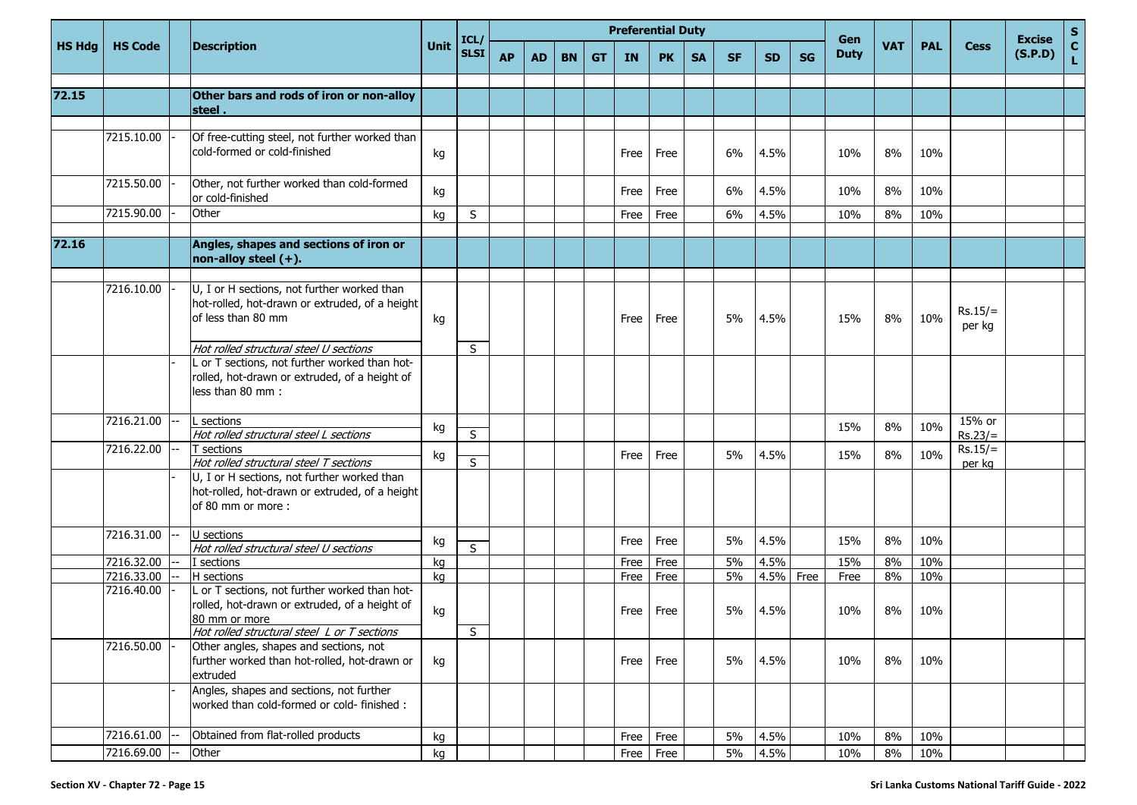|        |                |                                                                                                                                                                |      | ICL           |           |           |           |           | <b>Preferential Duty</b> |           |           |           |           |           | Gen         |            |            |                     | <b>Excise</b> | $\frac{s}{c}$ |
|--------|----------------|----------------------------------------------------------------------------------------------------------------------------------------------------------------|------|---------------|-----------|-----------|-----------|-----------|--------------------------|-----------|-----------|-----------|-----------|-----------|-------------|------------|------------|---------------------|---------------|---------------|
| HS Hdg | <b>HS Code</b> | <b>Description</b>                                                                                                                                             | Unit | <b>SLSI</b>   | <b>AP</b> | <b>AD</b> | <b>BN</b> | <b>GT</b> | <b>IN</b>                | <b>PK</b> | <b>SA</b> | <b>SF</b> | <b>SD</b> | <b>SG</b> | <b>Duty</b> | <b>VAT</b> | <b>PAL</b> | <b>Cess</b>         | (S.P.D)       | Ĺ.            |
|        |                |                                                                                                                                                                |      |               |           |           |           |           |                          |           |           |           |           |           |             |            |            |                     |               |               |
| 72.15  |                | Other bars and rods of iron or non-alloy<br>steel .                                                                                                            |      |               |           |           |           |           |                          |           |           |           |           |           |             |            |            |                     |               |               |
|        |                |                                                                                                                                                                |      |               |           |           |           |           |                          |           |           |           |           |           |             |            |            |                     |               |               |
|        | 7215.10.00     | Of free-cutting steel, not further worked than<br>cold-formed or cold-finished                                                                                 | kg   |               |           |           |           |           | Free                     | Free      |           | 6%        | 4.5%      |           | 10%         | 8%         | 10%        |                     |               |               |
|        | 7215.50.00     | Other, not further worked than cold-formed<br>or cold-finished                                                                                                 | kg   |               |           |           |           |           | Free                     | Free      |           | 6%        | 4.5%      |           | 10%         | 8%         | 10%        |                     |               |               |
|        | 7215.90.00     | Other                                                                                                                                                          | kg   | S             |           |           |           |           | Free                     | Free      |           | 6%        | 4.5%      |           | 10%         | 8%         | 10%        |                     |               |               |
|        |                |                                                                                                                                                                |      |               |           |           |           |           |                          |           |           |           |           |           |             |            |            |                     |               |               |
| 72.16  |                | Angles, shapes and sections of iron or<br>non-alloy steel $(+)$ .                                                                                              |      |               |           |           |           |           |                          |           |           |           |           |           |             |            |            |                     |               |               |
|        | 7216.10.00     | U, I or H sections, not further worked than<br>hot-rolled, hot-drawn or extruded, of a height<br>of less than 80 mm                                            | kg   |               |           |           |           |           | Free                     | Free      |           | 5%        | 4.5%      |           | 15%         | 8%         | 10%        | $Rs.15/=$<br>per kg |               |               |
|        |                | Hot rolled structural steel U sections                                                                                                                         |      | S             |           |           |           |           |                          |           |           |           |           |           |             |            |            |                     |               |               |
|        |                | L or T sections, not further worked than hot-<br>rolled, hot-drawn or extruded, of a height of<br>less than 80 mm :                                            |      |               |           |           |           |           |                          |           |           |           |           |           |             |            |            |                     |               |               |
|        | 7216.21.00     | L sections                                                                                                                                                     |      |               |           |           |           |           |                          |           |           |           |           |           |             |            |            | 15% or              |               |               |
|        |                | Hot rolled structural steel L sections                                                                                                                         | kg   | $\mathcal{S}$ |           |           |           |           |                          |           |           |           |           |           | 15%         | 8%         | 10%        | $Rs.23/=$           |               |               |
|        | 7216.22.00     | T sections                                                                                                                                                     | kg   |               |           |           |           |           | Free                     | Free      |           | 5%        | 4.5%      |           | 15%         | 8%         | 10%        | $Rs.15/=$           |               |               |
|        |                | Hot rolled structural steel T sections                                                                                                                         |      | S             |           |           |           |           |                          |           |           |           |           |           |             |            |            | per kg              |               |               |
|        |                | U, I or H sections, not further worked than<br>hot-rolled, hot-drawn or extruded, of a height<br>of 80 mm or more:                                             |      |               |           |           |           |           |                          |           |           |           |           |           |             |            |            |                     |               |               |
|        | 7216.31.00     | U sections                                                                                                                                                     |      |               |           |           |           |           |                          |           |           |           |           |           |             |            |            |                     |               |               |
|        |                | Hot rolled structural steel U sections                                                                                                                         | kg   | $\mathcal{S}$ |           |           |           |           | Free                     | Free      |           | 5%        | 4.5%      |           | 15%         | 8%         | 10%        |                     |               |               |
|        | 7216.32.00     | I sections                                                                                                                                                     | kg   |               |           |           |           |           | Free                     | Free      |           | 5%        | 4.5%      |           | 15%         | 8%         | 10%        |                     |               |               |
|        | 7216.33.00     | H sections                                                                                                                                                     | kg   |               |           |           |           |           | Free                     | Free      |           | 5%        | 4.5%      | Free      | Free        | 8%         | 10%        |                     |               |               |
|        | 7216.40.00     | L or T sections, not further worked than hot-<br>rolled, hot-drawn or extruded, of a height of<br>80 mm or more<br>Hot rolled structural steel L or T sections | kg   | S             |           |           |           |           | Free                     | Free      |           | 5%        | 4.5%      |           | 10%         | 8%         | 10%        |                     |               |               |
|        | 7216.50.00     | Other angles, shapes and sections, not<br>further worked than hot-rolled, hot-drawn or<br>extruded                                                             | kg   |               |           |           |           |           | Free                     | Free      |           | 5%        | 4.5%      |           | 10%         | 8%         | 10%        |                     |               |               |
|        |                | Angles, shapes and sections, not further<br>worked than cold-formed or cold- finished :                                                                        |      |               |           |           |           |           |                          |           |           |           |           |           |             |            |            |                     |               |               |
|        | 7216.61.00     | Obtained from flat-rolled products                                                                                                                             | kg   |               |           |           |           |           | Free                     | Free      |           | 5%        | 4.5%      |           | 10%         | 8%         | 10%        |                     |               |               |
|        | 7216.69.00     | Other                                                                                                                                                          | kg   |               |           |           |           |           | Free                     | Free      |           | 5%        | 4.5%      |           | 10%         | 8%         | 10%        |                     |               |               |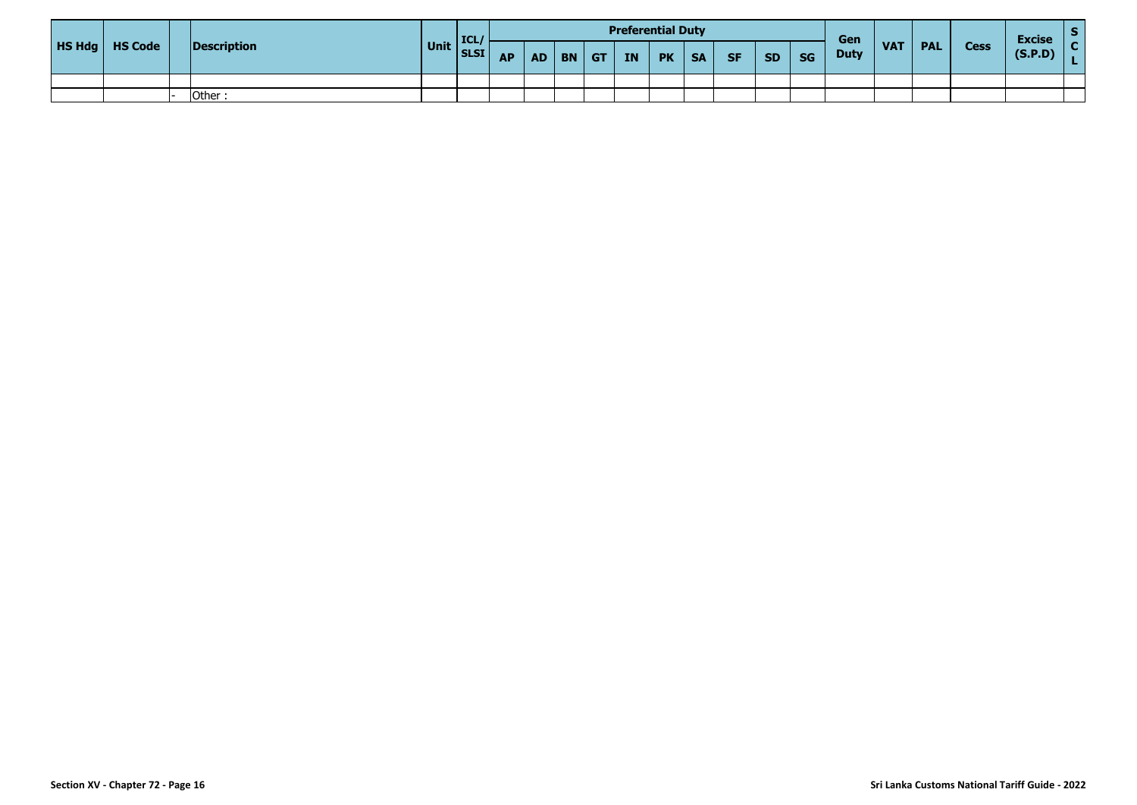|                         |             |      | <b>ICL</b>        |           |           |           |    |           | <b>Preferential Duty</b> |           |           |           |           | Gen         |                 |            |             | <b>Excise</b> |  |
|-------------------------|-------------|------|-------------------|-----------|-----------|-----------|----|-----------|--------------------------|-----------|-----------|-----------|-----------|-------------|-----------------|------------|-------------|---------------|--|
| <b>HS Hdg</b>   HS Code | Description | Unit | SLSI <sup>I</sup> | <b>AP</b> | <b>AD</b> | <b>BN</b> | GT | <b>IN</b> | <b>PK</b>                | <b>SA</b> | <b>SF</b> | <b>SD</b> | <b>SG</b> | <b>Duty</b> | VA <sub>1</sub> | <b>PAL</b> | <b>Cess</b> | (S.P.D)       |  |
|                         |             |      |                   |           |           |           |    |           |                          |           |           |           |           |             |                 |            |             |               |  |
|                         | Other:      |      |                   |           |           |           |    |           |                          |           |           |           |           |             |                 |            |             |               |  |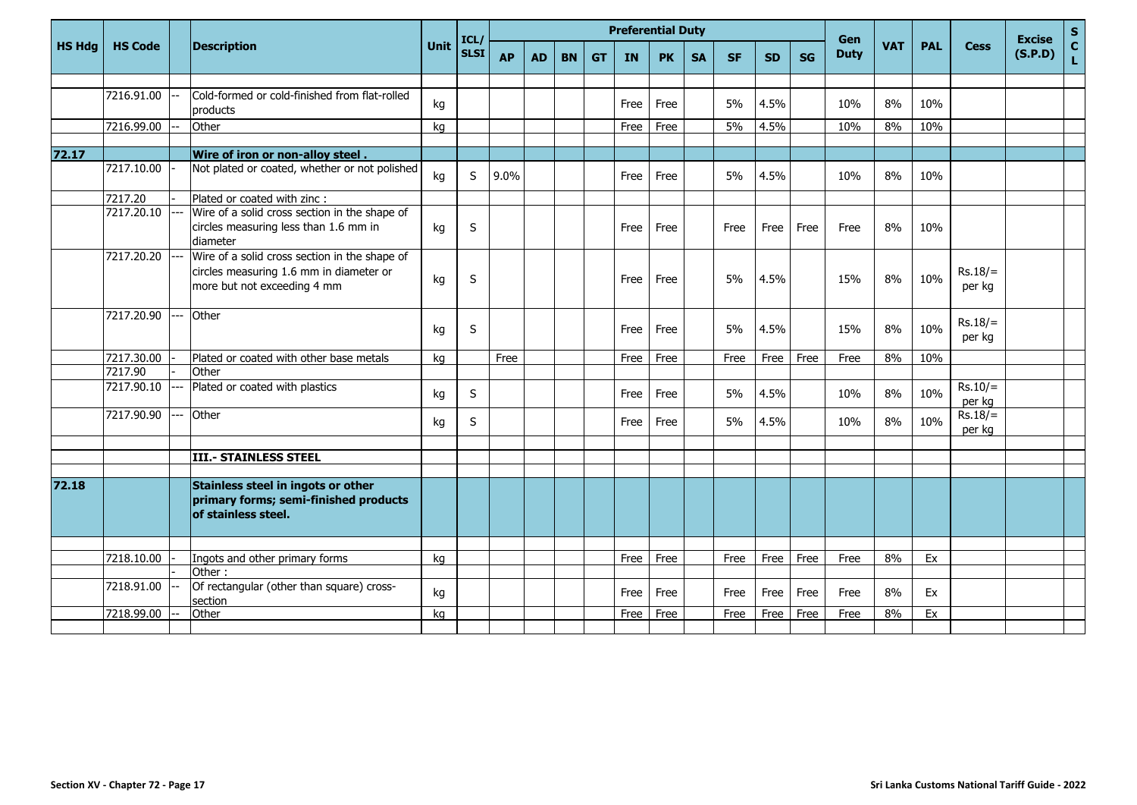|               |                |     |                                                                                                                         |      | ICL/        |           |           |           |           | <b>Preferential Duty</b> |           |           |           |           |           | Gen         |            |            |                     | <b>Excise</b> | $\mathsf{s}$      |
|---------------|----------------|-----|-------------------------------------------------------------------------------------------------------------------------|------|-------------|-----------|-----------|-----------|-----------|--------------------------|-----------|-----------|-----------|-----------|-----------|-------------|------------|------------|---------------------|---------------|-------------------|
| <b>HS Hdg</b> | <b>HS Code</b> |     | <b>Description</b>                                                                                                      | Unit | <b>SLSI</b> | <b>AP</b> | <b>AD</b> | <b>BN</b> | <b>GT</b> | IN                       | <b>PK</b> | <b>SA</b> | <b>SF</b> | <b>SD</b> | <b>SG</b> | <b>Duty</b> | <b>VAT</b> | <b>PAL</b> | <b>Cess</b>         | (S.P.D)       | $\mathbf c$<br>L. |
|               |                |     |                                                                                                                         |      |             |           |           |           |           |                          |           |           |           |           |           |             |            |            |                     |               |                   |
|               | 7216.91.00     |     | Cold-formed or cold-finished from flat-rolled<br>products                                                               | kg   |             |           |           |           |           | Free                     | Free      |           | 5%        | 4.5%      |           | 10%         | 8%         | 10%        |                     |               |                   |
|               | 7216.99.00     |     | Other                                                                                                                   | kg   |             |           |           |           |           | Free                     | Free      |           | 5%        | 4.5%      |           | 10%         | 8%         | 10%        |                     |               |                   |
| 72.17         |                |     | Wire of iron or non-alloy steel.                                                                                        |      |             |           |           |           |           |                          |           |           |           |           |           |             |            |            |                     |               |                   |
|               | 7217.10.00     |     | Not plated or coated, whether or not polished                                                                           | kg   | S           | 9.0%      |           |           |           | Free                     | Free      |           | 5%        | 4.5%      |           | 10%         | 8%         | 10%        |                     |               |                   |
|               | 7217.20        |     | Plated or coated with zinc :                                                                                            |      |             |           |           |           |           |                          |           |           |           |           |           |             |            |            |                     |               |                   |
|               | 7217.20.10     |     | Wire of a solid cross section in the shape of<br>circles measuring less than 1.6 mm in<br>diameter                      | kg   | $\sf S$     |           |           |           |           | Free                     | Free      |           | Free      | Free      | Free      | Free        | 8%         | 10%        |                     |               |                   |
|               | 7217.20.20     |     | Wire of a solid cross section in the shape of<br>circles measuring 1.6 mm in diameter or<br>more but not exceeding 4 mm | kg   | $\sf S$     |           |           |           |           | Free                     | Free      |           | 5%        | 4.5%      |           | 15%         | 8%         | 10%        | $Rs.18/=$<br>per kg |               |                   |
|               | 7217.20.90     |     | Other                                                                                                                   | kg   | S           |           |           |           |           | Free                     | Free      |           | 5%        | 4.5%      |           | 15%         | 8%         | 10%        | $Rs.18/=$<br>per kg |               |                   |
|               | 7217.30.00     |     | Plated or coated with other base metals                                                                                 | kg   |             | Free      |           |           |           | Free                     | Free      |           | Free      | Free      | Free      | Free        | 8%         | 10%        |                     |               |                   |
|               | 7217.90        |     | Other                                                                                                                   |      |             |           |           |           |           |                          |           |           |           |           |           |             |            |            |                     |               |                   |
|               | 7217.90.10     |     | Plated or coated with plastics                                                                                          | kg   | S           |           |           |           |           | Free                     | Free      |           | 5%        | 4.5%      |           | 10%         | 8%         | 10%        | $Rs.10/=$<br>per kg |               |                   |
|               | 7217.90.90     | --- | Other                                                                                                                   | kg   | S           |           |           |           |           | Free                     | Free      |           | 5%        | 4.5%      |           | 10%         | 8%         | 10%        | $Rs.18/=$<br>per kg |               |                   |
|               |                |     |                                                                                                                         |      |             |           |           |           |           |                          |           |           |           |           |           |             |            |            |                     |               |                   |
|               |                |     | <b>III.- STAINLESS STEEL</b>                                                                                            |      |             |           |           |           |           |                          |           |           |           |           |           |             |            |            |                     |               |                   |
| 72.18         |                |     | Stainless steel in ingots or other<br>primary forms; semi-finished products<br>of stainless steel.                      |      |             |           |           |           |           |                          |           |           |           |           |           |             |            |            |                     |               |                   |
|               |                |     |                                                                                                                         |      |             |           |           |           |           |                          |           |           |           |           |           |             | 8%         |            |                     |               |                   |
|               | 7218.10.00     |     | Ingots and other primary forms<br>Other:                                                                                | kg   |             |           |           |           |           | Free                     | Free      |           | Free      | Free      | Free      | Free        |            | Ex         |                     |               |                   |
|               | 7218.91.00     |     | Of rectangular (other than square) cross-<br>section                                                                    | kg   |             |           |           |           |           | Free                     | Free      |           | Free      | Free      | Free      | Free        | 8%         | Ex         |                     |               |                   |
|               | 7218.99.00     |     | Other                                                                                                                   | ka   |             |           |           |           |           | Free                     | Free      |           | Free      | Free      | Free      | Free        | 8%         | Ex         |                     |               |                   |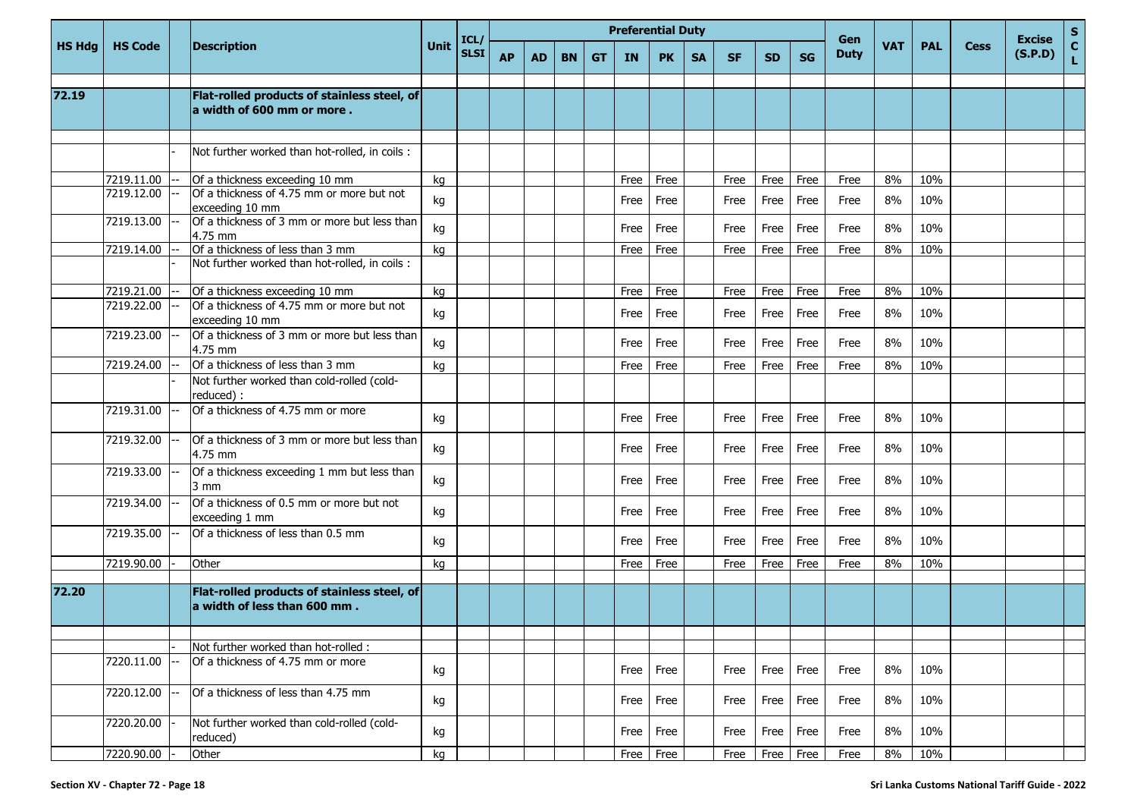|               |                |                                                                             |      | ICL/        |           |           |           |    |           | <b>Preferential Duty</b> |           |           |           |           | Gen         |            |            |             | <b>Excise</b> | $S_{C}$      |
|---------------|----------------|-----------------------------------------------------------------------------|------|-------------|-----------|-----------|-----------|----|-----------|--------------------------|-----------|-----------|-----------|-----------|-------------|------------|------------|-------------|---------------|--------------|
| <b>HS Hdg</b> | <b>HS Code</b> | <b>Description</b>                                                          | Unit | <b>SLSI</b> | <b>AP</b> | <b>AD</b> | <b>BN</b> | GT | <b>IN</b> | <b>PK</b>                | <b>SA</b> | <b>SF</b> | <b>SD</b> | <b>SG</b> | <b>Duty</b> | <b>VAT</b> | <b>PAL</b> | <b>Cess</b> | (S.P.D)       | $\mathbf{L}$ |
|               |                |                                                                             |      |             |           |           |           |    |           |                          |           |           |           |           |             |            |            |             |               |              |
| 72.19         |                | Flat-rolled products of stainless steel, of<br>a width of 600 mm or more.   |      |             |           |           |           |    |           |                          |           |           |           |           |             |            |            |             |               |              |
|               |                |                                                                             |      |             |           |           |           |    |           |                          |           |           |           |           |             |            |            |             |               |              |
|               |                | Not further worked than hot-rolled, in coils :                              |      |             |           |           |           |    |           |                          |           |           |           |           |             |            |            |             |               |              |
|               | 7219.11.00     | Of a thickness exceeding 10 mm                                              | kg   |             |           |           |           |    | Free      | Free                     |           | Free      | Free      | Free      | Free        | 8%         | 10%        |             |               |              |
|               | 7219.12.00     | Of a thickness of 4.75 mm or more but not<br>exceeding 10 mm                | kg   |             |           |           |           |    | Free      | Free                     |           | Free      | Free      | Free      | Free        | 8%         | 10%        |             |               |              |
|               | 7219.13.00     | Of a thickness of 3 mm or more but less than<br>4.75 mm                     | kg   |             |           |           |           |    | Free      | Free                     |           | Free      | Free      | Free      | Free        | 8%         | 10%        |             |               |              |
|               | 7219.14.00     | Of a thickness of less than 3 mm                                            | kg   |             |           |           |           |    | Free      | Free                     |           | Free      | Free      | Free      | Free        | 8%         | 10%        |             |               |              |
|               |                | Not further worked than hot-rolled, in coils :                              |      |             |           |           |           |    |           |                          |           |           |           |           |             |            |            |             |               |              |
|               | 7219.21.00     | Of a thickness exceeding 10 mm                                              | kg   |             |           |           |           |    | Free      | Free                     |           | Free      | Free      | Free      | Free        | 8%         | 10%        |             |               |              |
|               | 7219.22.00     | Of a thickness of 4.75 mm or more but not<br>exceeding 10 mm                | kg   |             |           |           |           |    | Free      | Free                     |           | Free      | Free      | Free      | Free        | 8%         | 10%        |             |               |              |
|               | 7219.23.00     | Of a thickness of 3 mm or more but less than<br>4.75 mm                     | kg   |             |           |           |           |    | Free      | Free                     |           | Free      | Free      | Free      | Free        | 8%         | 10%        |             |               |              |
|               | 7219.24.00     | Of a thickness of less than 3 mm                                            | kg   |             |           |           |           |    | Free      | Free                     |           | Free      | Free      | Free      | Free        | 8%         | 10%        |             |               |              |
|               |                | Not further worked than cold-rolled (cold-<br>reduced) :                    |      |             |           |           |           |    |           |                          |           |           |           |           |             |            |            |             |               |              |
|               | 7219.31.00     | Of a thickness of 4.75 mm or more                                           | kg   |             |           |           |           |    | Free      | Free                     |           | Free      | Free      | Free      | Free        | 8%         | 10%        |             |               |              |
|               | 7219.32.00     | Of a thickness of 3 mm or more but less than<br>4.75 mm                     | kg   |             |           |           |           |    | Free      | Free                     |           | Free      | Free      | Free      | Free        | 8%         | 10%        |             |               |              |
|               | 7219.33.00     | Of a thickness exceeding 1 mm but less than<br>3 mm                         | kg   |             |           |           |           |    | Free      | Free                     |           | Free      | Free      | Free      | Free        | 8%         | 10%        |             |               |              |
|               | 7219.34.00     | Of a thickness of 0.5 mm or more but not<br>exceeding 1 mm                  | kg   |             |           |           |           |    | Free      | Free                     |           | Free      | Free      | Free      | Free        | 8%         | 10%        |             |               |              |
|               | 7219.35.00     | Of a thickness of less than 0.5 mm                                          | kg   |             |           |           |           |    | Free      | Free                     |           | Free      | Free      | Free      | Free        | 8%         | 10%        |             |               |              |
|               | 7219.90.00     | Other                                                                       | kg   |             |           |           |           |    | Free      | Free                     |           | Free      | Free      | Free      | Free        | 8%         | 10%        |             |               |              |
|               |                |                                                                             |      |             |           |           |           |    |           |                          |           |           |           |           |             |            |            |             |               |              |
| 72.20         |                | Flat-rolled products of stainless steel, of<br>a width of less than 600 mm. |      |             |           |           |           |    |           |                          |           |           |           |           |             |            |            |             |               |              |
|               |                |                                                                             |      |             |           |           |           |    |           |                          |           |           |           |           |             |            |            |             |               |              |
|               |                | Not further worked than hot-rolled :                                        |      |             |           |           |           |    |           |                          |           |           |           |           |             |            |            |             |               |              |
|               | 7220.11.00     | Of a thickness of 4.75 mm or more                                           | kg   |             |           |           |           |    | Free      | Free                     |           | Free      | Free      | Free      | Free        | 8%         | 10%        |             |               |              |
|               | 7220.12.00     | Of a thickness of less than 4.75 mm                                         | kg   |             |           |           |           |    | Free      | Free                     |           | Free      | Free      | Free      | Free        | 8%         | 10%        |             |               |              |
|               | 7220.20.00     | Not further worked than cold-rolled (cold-<br>reduced)                      | kg   |             |           |           |           |    | Free      | Free                     |           | Free      | Free      | Free      | Free        | 8%         | 10%        |             |               |              |
|               | 7220.90.00     | Other                                                                       | kg   |             |           |           |           |    | Free      | Free                     |           | Free      | Free      | $r =$     | Free        | 8%         | 10%        |             |               |              |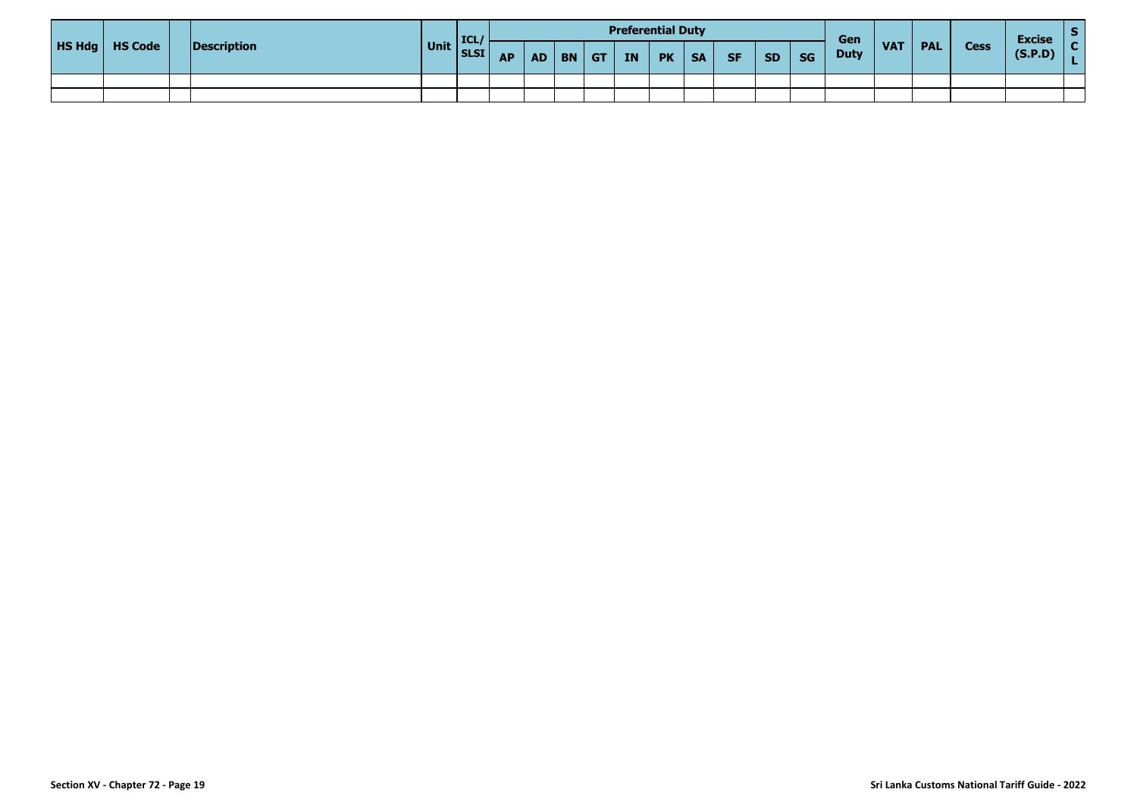|  |                         |             |              | <b>ICL</b> |           |          |            |    | <b>Preferential Duty</b> |           |           |           |           | Gen         |            |            |             | <b>Excise</b> |  |
|--|-------------------------|-------------|--------------|------------|-----------|----------|------------|----|--------------------------|-----------|-----------|-----------|-----------|-------------|------------|------------|-------------|---------------|--|
|  | <b>HS Hdg</b>   HS Code | Description | Unit SLSI AP |            | <b>AP</b> | $AD$ $B$ | $ $ GT $ $ | IN | <b>PK</b>                | <b>SA</b> | <b>SF</b> | <b>SD</b> | <b>SG</b> | <b>Duty</b> | <b>VAT</b> | <b>PAL</b> | <b>Cess</b> | (S.P.D)       |  |
|  |                         |             |              |            |           |          |            |    |                          |           |           |           |           |             |            |            |             |               |  |
|  |                         |             |              |            |           |          |            |    |                          |           |           |           |           |             |            |            |             |               |  |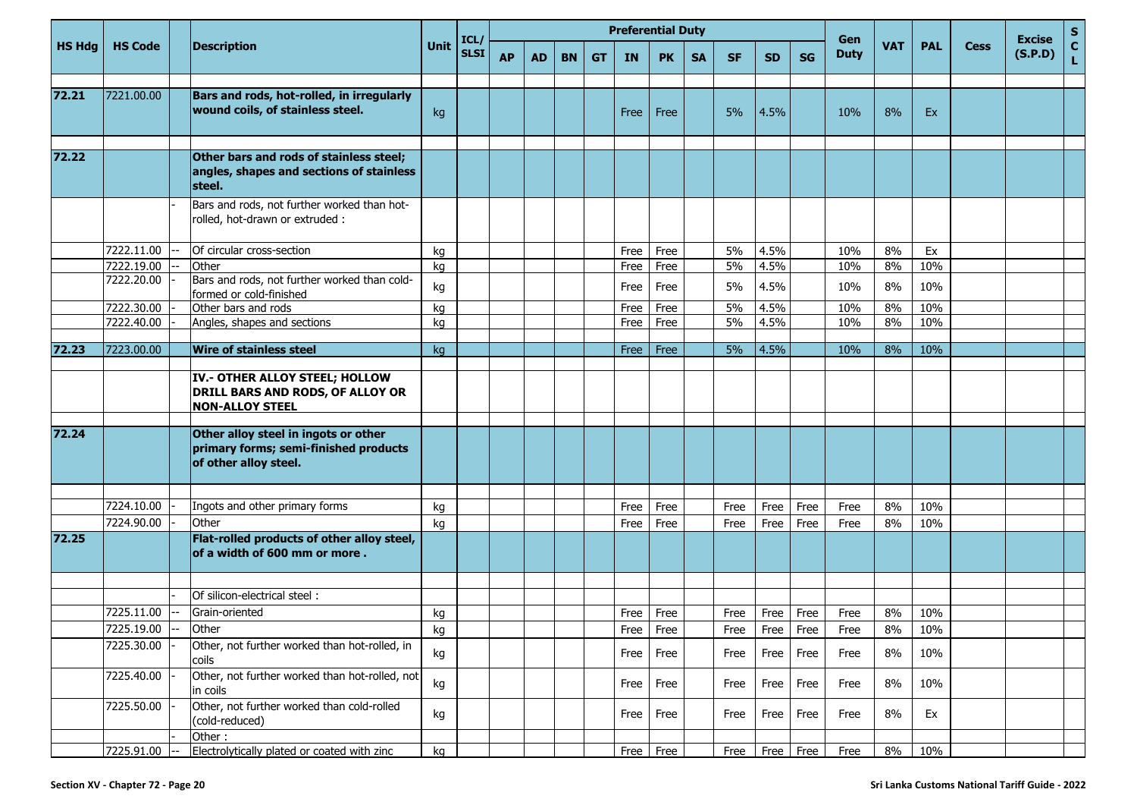|               |                          |                                                                                                        |      | ICL/        |           |    |           |           | <b>Preferential Duty</b> |           |           |           |           |           | Gen         |            |            |             | <b>Excise</b> | ${\sf s}$          |
|---------------|--------------------------|--------------------------------------------------------------------------------------------------------|------|-------------|-----------|----|-----------|-----------|--------------------------|-----------|-----------|-----------|-----------|-----------|-------------|------------|------------|-------------|---------------|--------------------|
| <b>HS Hdg</b> | <b>HS Code</b>           | <b>Description</b>                                                                                     | Unit | <b>SLSI</b> | <b>AP</b> | AD | <b>BN</b> | <b>GT</b> | <b>IN</b>                | <b>PK</b> | <b>SA</b> | <b>SF</b> | <b>SD</b> | <b>SG</b> | <b>Duty</b> | <b>VAT</b> | <b>PAL</b> | <b>Cess</b> | (S.P.D)       | $\mathbf{C}$<br>L. |
|               |                          |                                                                                                        |      |             |           |    |           |           |                          |           |           |           |           |           |             |            |            |             |               |                    |
| 72.21         | 7221.00.00               | Bars and rods, hot-rolled, in irregularly<br>wound coils, of stainless steel.                          | kg   |             |           |    |           |           | <b>Free</b>              | Free      |           | 5%        | 4.5%      |           | 10%         | 8%         | Ex         |             |               |                    |
|               |                          |                                                                                                        |      |             |           |    |           |           |                          |           |           |           |           |           |             |            |            |             |               |                    |
| 72.22         |                          | Other bars and rods of stainless steel;<br>angles, shapes and sections of stainless<br>steel.          |      |             |           |    |           |           |                          |           |           |           |           |           |             |            |            |             |               |                    |
|               |                          | Bars and rods, not further worked than hot-<br>rolled, hot-drawn or extruded :                         |      |             |           |    |           |           |                          |           |           |           |           |           |             |            |            |             |               |                    |
|               | 7222.11.00               | Of circular cross-section                                                                              | kg   |             |           |    |           |           | Free                     | Free      |           | 5%        | 4.5%      |           | 10%         | 8%         | Ex         |             |               |                    |
|               | 7222.19.00               | Other                                                                                                  | kg   |             |           |    |           |           | Free                     | Free      |           | 5%        | 4.5%      |           | 10%         | 8%         | 10%        |             |               |                    |
|               | 7222.20.00               | Bars and rods, not further worked than cold-<br>formed or cold-finished                                | kg   |             |           |    |           |           | Free                     | Free      |           | 5%        | 4.5%      |           | 10%         | 8%         | 10%        |             |               |                    |
|               | 7222.30.00               | Other bars and rods                                                                                    | kg   |             |           |    |           |           | Free                     | Free      |           | 5%        | 4.5%      |           | 10%         | 8%         | 10%        |             |               |                    |
|               | 7222.40.00               | Angles, shapes and sections                                                                            | kg   |             |           |    |           |           | Free                     | Free      |           | 5%        | 4.5%      |           | 10%         | 8%         | 10%        |             |               |                    |
| 72.23         | 7223.00.00               | <b>Wire of stainless steel</b>                                                                         | kg   |             |           |    |           |           | Free                     | Free      |           | 5%        | 4.5%      |           | 10%         | 8%         | 10%        |             |               |                    |
|               |                          |                                                                                                        |      |             |           |    |           |           |                          |           |           |           |           |           |             |            |            |             |               |                    |
|               |                          | IV.- OTHER ALLOY STEEL; HOLLOW<br>DRILL BARS AND RODS, OF ALLOY OR<br><b>NON-ALLOY STEEL</b>           |      |             |           |    |           |           |                          |           |           |           |           |           |             |            |            |             |               |                    |
|               |                          |                                                                                                        |      |             |           |    |           |           |                          |           |           |           |           |           |             |            |            |             |               |                    |
| 72.24         |                          | Other alloy steel in ingots or other<br>primary forms; semi-finished products<br>of other alloy steel. |      |             |           |    |           |           |                          |           |           |           |           |           |             |            |            |             |               |                    |
|               |                          |                                                                                                        |      |             |           |    |           |           |                          |           |           |           |           |           |             |            |            |             |               |                    |
|               | 7224.10.00<br>7224.90.00 | Ingots and other primary forms<br>Other                                                                | kg   |             |           |    |           |           | Free                     | Free      |           | Free      | Free      | Free      | Free        | 8%         | 10%        |             |               |                    |
| 72.25         |                          | Flat-rolled products of other alloy steel,<br>of a width of 600 mm or more.                            | kg   |             |           |    |           |           | Free                     | Free      |           | Free      | Free      | Free      | Free        | 8%         | 10%        |             |               |                    |
|               |                          |                                                                                                        |      |             |           |    |           |           |                          |           |           |           |           |           |             |            |            |             |               |                    |
|               |                          | Of silicon-electrical steel:                                                                           |      |             |           |    |           |           |                          |           |           |           |           |           |             |            |            |             |               |                    |
|               | 7225.11.00               | Grain-oriented                                                                                         | kg   |             |           |    |           |           | Free                     | Free      |           | Free      | Free      | Free      | Free        | 8%         | 10%        |             |               |                    |
|               | 7225.19.00               | Other                                                                                                  | kg   |             |           |    |           |           |                          | Free Free |           | Free      | Free Free |           | Free        | $8\%$      | 10%        |             |               |                    |
|               | 7225.30.00               | Other, not further worked than hot-rolled, in<br>coils                                                 | kg   |             |           |    |           |           | Free                     | Free      |           | Free      | Free      | Free      | Free        | 8%         | 10%        |             |               |                    |
|               | 7225.40.00               | Other, not further worked than hot-rolled, not<br>in coils                                             | kg   |             |           |    |           |           | Free                     | Free      |           | Free      | Free      | Free      | Free        | 8%         | 10%        |             |               |                    |
|               | 7225.50.00               | Other, not further worked than cold-rolled<br>(cold-reduced)                                           | kg   |             |           |    |           |           | Free                     | Free      |           | Free      | Free      | Free      | Free        | 8%         | Ex         |             |               |                    |
|               |                          | Other:                                                                                                 |      |             |           |    |           |           |                          |           |           |           |           |           |             |            |            |             |               |                    |
|               | 7225.91.00               | Electrolytically plated or coated with zinc                                                            | kg   |             |           |    |           |           |                          | Free Free |           | Free      |           | Free Free | Free        | 8%         | 10%        |             |               |                    |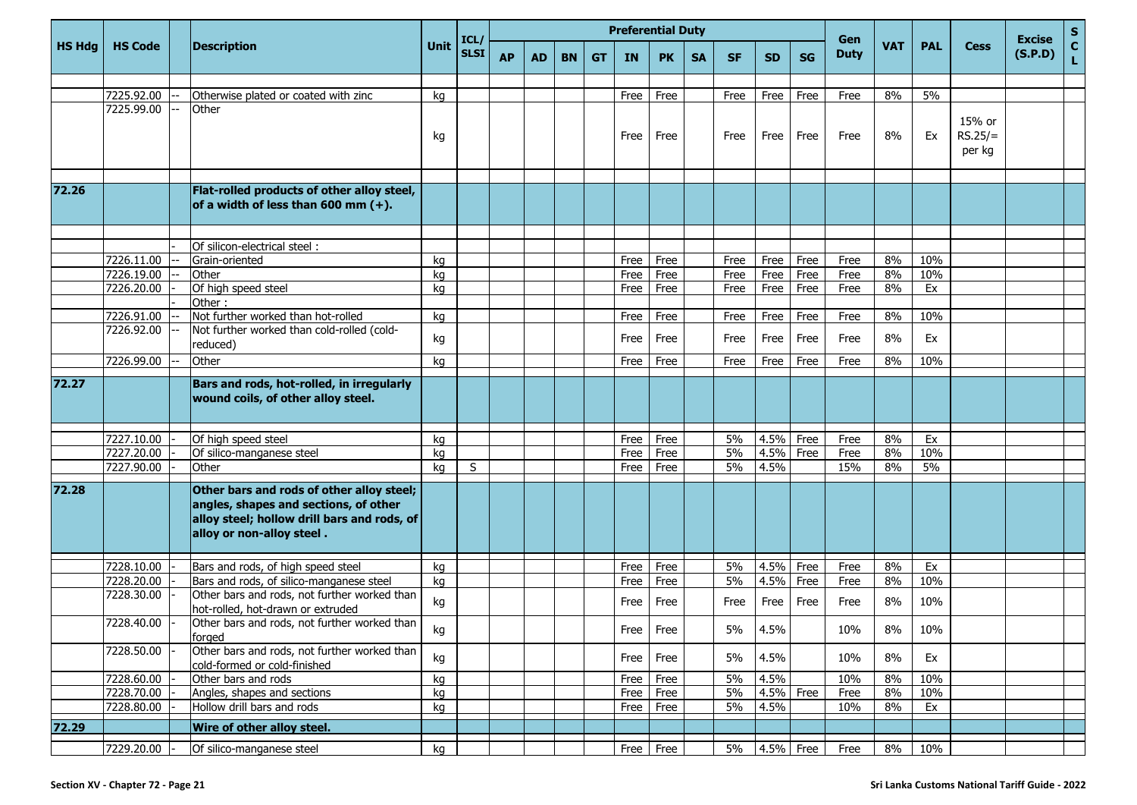|               |                |                                                                                                                                                                |             | ICL/        |           |           |           |           | <b>Preferential Duty</b> |              |           |           |              |              | Gen          |            |            |                               | <b>Excise</b> | $S_{C}$ |
|---------------|----------------|----------------------------------------------------------------------------------------------------------------------------------------------------------------|-------------|-------------|-----------|-----------|-----------|-----------|--------------------------|--------------|-----------|-----------|--------------|--------------|--------------|------------|------------|-------------------------------|---------------|---------|
| <b>HS Hdg</b> | <b>HS Code</b> | <b>Description</b>                                                                                                                                             | <b>Unit</b> | <b>SLSI</b> | <b>AP</b> | <b>AD</b> | <b>BN</b> | <b>GT</b> | <b>IN</b>                | <b>PK</b>    | <b>SA</b> | <b>SF</b> | <b>SD</b>    | <b>SG</b>    | <b>Duty</b>  | <b>VAT</b> | <b>PAL</b> | <b>Cess</b>                   | (S.P.D)       | Ĺ       |
|               |                |                                                                                                                                                                |             |             |           |           |           |           |                          |              |           |           |              |              |              |            |            |                               |               |         |
|               | 7225.92.00     | Otherwise plated or coated with zinc                                                                                                                           | kg          |             |           |           |           |           | Free                     | Free         |           | Free      | Free         | Free         | Free         | 8%         | 5%         |                               |               |         |
|               | 7225.99.00     | Other                                                                                                                                                          | kg          |             |           |           |           |           | Free                     | Free         |           | Free      | Free         | Free         | Free         | 8%         | Ex         | 15% or<br>$RS.25/=$<br>per kg |               |         |
| 72.26         |                | Flat-rolled products of other alloy steel,<br>of a width of less than 600 mm $(+)$ .                                                                           |             |             |           |           |           |           |                          |              |           |           |              |              |              |            |            |                               |               |         |
|               |                |                                                                                                                                                                |             |             |           |           |           |           |                          |              |           |           |              |              |              |            |            |                               |               |         |
|               | 7226.11.00     | Of silicon-electrical steel:<br>Grain-oriented                                                                                                                 |             |             |           |           |           |           |                          |              |           | Free      |              |              |              | 8%         | 10%        |                               |               |         |
|               | 7226.19.00     | Other                                                                                                                                                          | kg<br>kg    |             |           |           |           |           | Free<br>Free             | Free<br>Free |           | Free      | Free<br>Free | Free<br>Free | Free<br>Free | 8%         | 10%        |                               |               |         |
|               | 7226.20.00     | Of high speed steel                                                                                                                                            | kg          |             |           |           |           |           | Free                     | Free         |           | Free      | Free         | Free         | Free         | 8%         | Ex         |                               |               |         |
|               |                | Other:                                                                                                                                                         |             |             |           |           |           |           |                          |              |           |           |              |              |              |            |            |                               |               |         |
|               | 7226.91.00     | Not further worked than hot-rolled                                                                                                                             | kg          |             |           |           |           |           | Free                     | Free         |           | Free      | Free         | Free         | Free         | 8%         | 10%        |                               |               |         |
|               | 7226.92.00     | Not further worked than cold-rolled (cold-<br>reduced)                                                                                                         | kg          |             |           |           |           |           | Free                     | Free         |           | Free      | Free         | Free         | Free         | 8%         | Ex         |                               |               |         |
|               | 7226.99.00     | Other                                                                                                                                                          | kg          |             |           |           |           |           | Free                     | Free         |           | Free      | Free         | Free         | Free         | 8%         | 10%        |                               |               |         |
| 72.27         |                | Bars and rods, hot-rolled, in irregularly<br>wound coils, of other alloy steel.                                                                                |             |             |           |           |           |           |                          |              |           |           |              |              |              |            |            |                               |               |         |
|               | 7227.10.00     | Of high speed steel                                                                                                                                            | kg          |             |           |           |           |           | Free                     | Free         |           | 5%        | 4.5%         | Free         | Free         | 8%         | Ex         |                               |               |         |
|               | 7227.20.00     | Of silico-manganese steel                                                                                                                                      | kg          |             |           |           |           |           | Free                     | Free         |           | 5%        | 4.5%         | Free         | Free         | 8%         | 10%        |                               |               |         |
|               | 7227.90.00     | Other                                                                                                                                                          | kg          | S           |           |           |           |           | Free                     | Free         |           | 5%        | 4.5%         |              | 15%          | 8%         | 5%         |                               |               |         |
| 72.28         |                | Other bars and rods of other alloy steel;<br>angles, shapes and sections, of other<br>alloy steel; hollow drill bars and rods, of<br>alloy or non-alloy steel. |             |             |           |           |           |           |                          |              |           |           |              |              |              |            |            |                               |               |         |
|               | 7228.10.00     | Bars and rods, of high speed steel                                                                                                                             | kg          |             |           |           |           |           | Free                     | Free         |           | 5%        | 4.5%         | Free         | Free         | 8%         | Ex         |                               |               |         |
|               | 7228.20.00     | Bars and rods, of silico-manganese steel                                                                                                                       | kg          |             |           |           |           |           | Free                     | Free         |           | 5%        | 4.5%         | Free         | Free         | 8%         | 10%        |                               |               |         |
|               | 7228.30.00     | Other bars and rods, not further worked than<br>hot-rolled, hot-drawn or extruded                                                                              | kg          |             |           |           |           |           | Free                     | Free         |           | Free      | Free         | Free         | Free         | 8%         | 10%        |                               |               |         |
|               | 7228.40.00     | Other bars and rods, not further worked than<br>forged                                                                                                         | kg          |             |           |           |           |           |                          | Free Free    |           | 5%        | 4.5%         |              | 10%          | 8%         | 10%        |                               |               |         |
|               | 7228.50.00     | Other bars and rods, not further worked than<br>cold-formed or cold-finished                                                                                   | kg          |             |           |           |           |           | Free                     | Free         |           | 5%        | 4.5%         |              | 10%          | 8%         | Ex         |                               |               |         |
|               | 7228.60.00     | Other bars and rods                                                                                                                                            | kg          |             |           |           |           |           | Free                     | Free         |           | 5%        | 4.5%         |              | 10%          | 8%         | 10%        |                               |               |         |
|               | 7228.70.00     | Angles, shapes and sections                                                                                                                                    | kg          |             |           |           |           |           | Free                     | Free         |           | 5%        | 4.5% Free    |              | Free         | 8%         | 10%        |                               |               |         |
|               | 7228.80.00     | Hollow drill bars and rods                                                                                                                                     | kg          |             |           |           |           |           | Free                     | Free         |           | 5%        | 4.5%         |              | 10%          | 8%         | Ex         |                               |               |         |
| 72.29         |                | Wire of other alloy steel.                                                                                                                                     |             |             |           |           |           |           |                          |              |           |           |              |              |              |            |            |                               |               |         |
|               | 7229.20.00     | Of silico-manganese steel                                                                                                                                      | kg          |             |           |           |           |           | Free                     | Free         |           | 5%        | 4.5% Free    |              | Free         | 8%         | 10%        |                               |               |         |